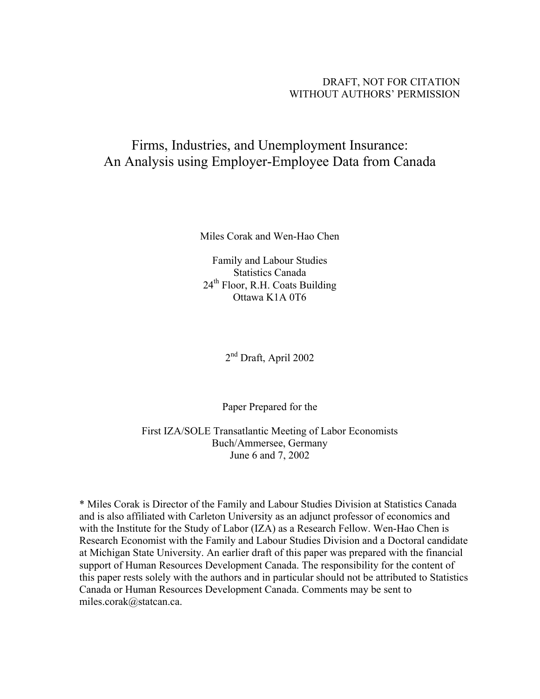## DRAFT, NOT FOR CITATION WITHOUT AUTHORS' PERMISSION

# Firms, Industries, and Unemployment Insurance: An Analysis using Employer-Employee Data from Canada

Miles Corak and Wen-Hao Chen

Family and Labour Studies Statistics Canada 24<sup>th</sup> Floor, R.H. Coats Building Ottawa K1A 0T6

2nd Draft, April 2002

Paper Prepared for the

First IZA/SOLE Transatlantic Meeting of Labor Economists Buch/Ammersee, Germany June 6 and 7, 2002

\* Miles Corak is Director of the Family and Labour Studies Division at Statistics Canada and is also affiliated with Carleton University as an adjunct professor of economics and with the Institute for the Study of Labor (IZA) as a Research Fellow. Wen-Hao Chen is Research Economist with the Family and Labour Studies Division and a Doctoral candidate at Michigan State University. An earlier draft of this paper was prepared with the financial support of Human Resources Development Canada. The responsibility for the content of this paper rests solely with the authors and in particular should not be attributed to Statistics Canada or Human Resources Development Canada. Comments may be sent to miles.corak@statcan.ca.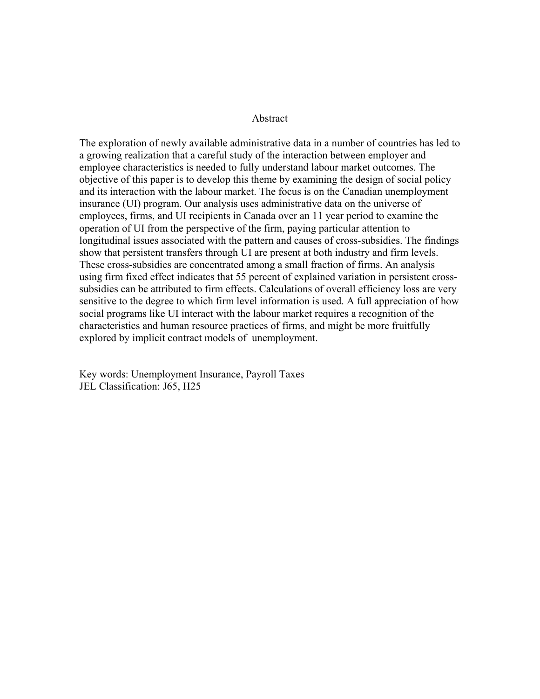#### Abstract

The exploration of newly available administrative data in a number of countries has led to a growing realization that a careful study of the interaction between employer and employee characteristics is needed to fully understand labour market outcomes. The objective of this paper is to develop this theme by examining the design of social policy and its interaction with the labour market. The focus is on the Canadian unemployment insurance (UI) program. Our analysis uses administrative data on the universe of employees, firms, and UI recipients in Canada over an 11 year period to examine the operation of UI from the perspective of the firm, paying particular attention to longitudinal issues associated with the pattern and causes of cross-subsidies. The findings show that persistent transfers through UI are present at both industry and firm levels. These cross-subsidies are concentrated among a small fraction of firms. An analysis using firm fixed effect indicates that 55 percent of explained variation in persistent crosssubsidies can be attributed to firm effects. Calculations of overall efficiency loss are very sensitive to the degree to which firm level information is used. A full appreciation of how social programs like UI interact with the labour market requires a recognition of the characteristics and human resource practices of firms, and might be more fruitfully explored by implicit contract models of unemployment.

Key words: Unemployment Insurance, Payroll Taxes JEL Classification: J65, H25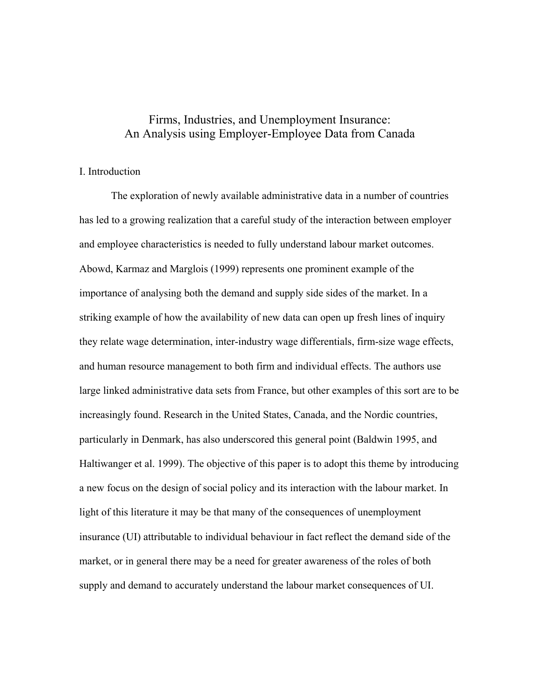## Firms, Industries, and Unemployment Insurance: An Analysis using Employer-Employee Data from Canada

## I. Introduction

The exploration of newly available administrative data in a number of countries has led to a growing realization that a careful study of the interaction between employer and employee characteristics is needed to fully understand labour market outcomes. Abowd, Karmaz and Marglois (1999) represents one prominent example of the importance of analysing both the demand and supply side sides of the market. In a striking example of how the availability of new data can open up fresh lines of inquiry they relate wage determination, inter-industry wage differentials, firm-size wage effects, and human resource management to both firm and individual effects. The authors use large linked administrative data sets from France, but other examples of this sort are to be increasingly found. Research in the United States, Canada, and the Nordic countries, particularly in Denmark, has also underscored this general point (Baldwin 1995, and Haltiwanger et al. 1999). The objective of this paper is to adopt this theme by introducing a new focus on the design of social policy and its interaction with the labour market. In light of this literature it may be that many of the consequences of unemployment insurance (UI) attributable to individual behaviour in fact reflect the demand side of the market, or in general there may be a need for greater awareness of the roles of both supply and demand to accurately understand the labour market consequences of UI.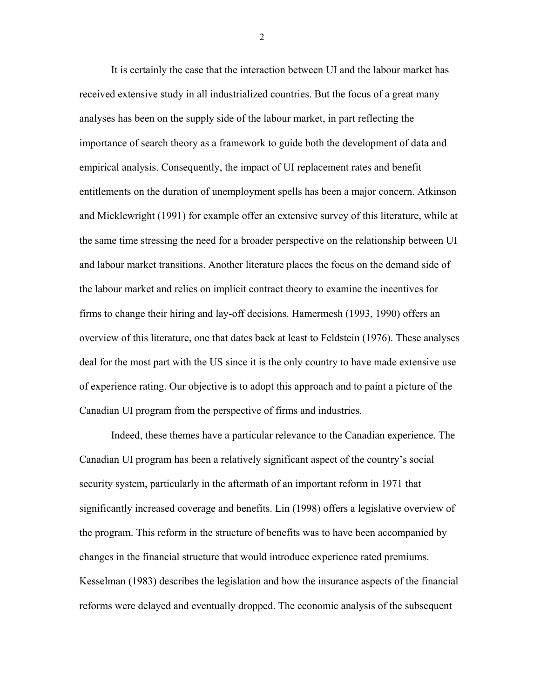It is certainly the case that the interaction between UI and the labour market has received extensive study in all industrialized countries. But the focus of a great many analyses has been on the supply side of the labour market, in part reflecting the importance of search theory as a framework to guide both the development of data and empirical analysis. Consequently, the impact of UI replacement rates and benefit entitlements on the duration of unemployment spells has been a major concern. Atkinson and Micklewright (1991) for example offer an extensive survey of this literature, while at the same time stressing the need for a broader perspective on the relationship between UI and labour market transitions. Another literature places the focus on the demand side of the labour market and relies on implicit contract theory to examine the incentives for firms to change their hiring and lay-off decisions. Hamermesh (1993, 1990) offers an overview of this literature, one that dates back at least to Feldstein (1976). These analyses deal for the most part with the US since it is the only country to have made extensive use of experience rating. Our objective is to adopt this approach and to paint a picture of the Canadian UI program from the perspective of firms and industries.

Indeed, these themes have a particular relevance to the Canadian experience. The Canadian UI program has been a relatively significant aspect of the country's social security system, particularly in the aftermath of an important reform in 1971 that significantly increased coverage and benefits. Lin (1998) offers a legislative overview of the program. This reform in the structure of benefits was to have been accompanied by changes in the financial structure that would introduce experience rated premiums. Kesselman (1983) describes the legislation and how the insurance aspects of the financial reforms were delayed and eventually dropped. The economic analysis of the subsequent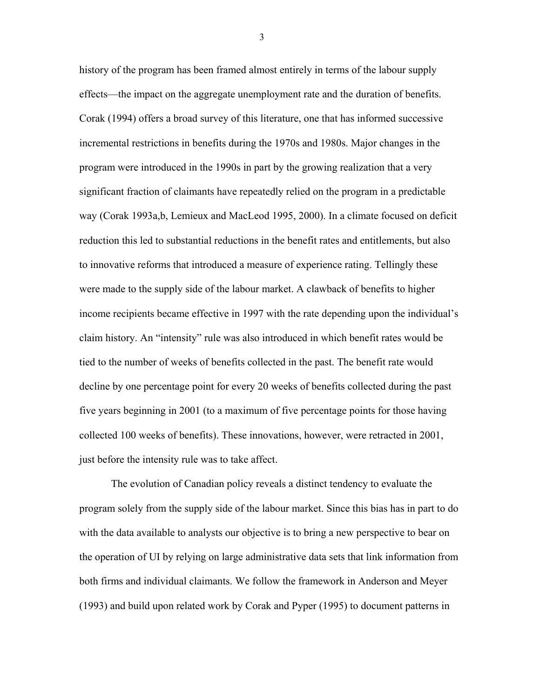history of the program has been framed almost entirely in terms of the labour supply effects—the impact on the aggregate unemployment rate and the duration of benefits. Corak (1994) offers a broad survey of this literature, one that has informed successive incremental restrictions in benefits during the 1970s and 1980s. Major changes in the program were introduced in the 1990s in part by the growing realization that a very significant fraction of claimants have repeatedly relied on the program in a predictable way (Corak 1993a,b, Lemieux and MacLeod 1995, 2000). In a climate focused on deficit reduction this led to substantial reductions in the benefit rates and entitlements, but also to innovative reforms that introduced a measure of experience rating. Tellingly these were made to the supply side of the labour market. A clawback of benefits to higher income recipients became effective in 1997 with the rate depending upon the individual's claim history. An "intensity" rule was also introduced in which benefit rates would be tied to the number of weeks of benefits collected in the past. The benefit rate would decline by one percentage point for every 20 weeks of benefits collected during the past five years beginning in 2001 (to a maximum of five percentage points for those having collected 100 weeks of benefits). These innovations, however, were retracted in 2001, just before the intensity rule was to take affect.

The evolution of Canadian policy reveals a distinct tendency to evaluate the program solely from the supply side of the labour market. Since this bias has in part to do with the data available to analysts our objective is to bring a new perspective to bear on the operation of UI by relying on large administrative data sets that link information from both firms and individual claimants. We follow the framework in Anderson and Meyer (1993) and build upon related work by Corak and Pyper (1995) to document patterns in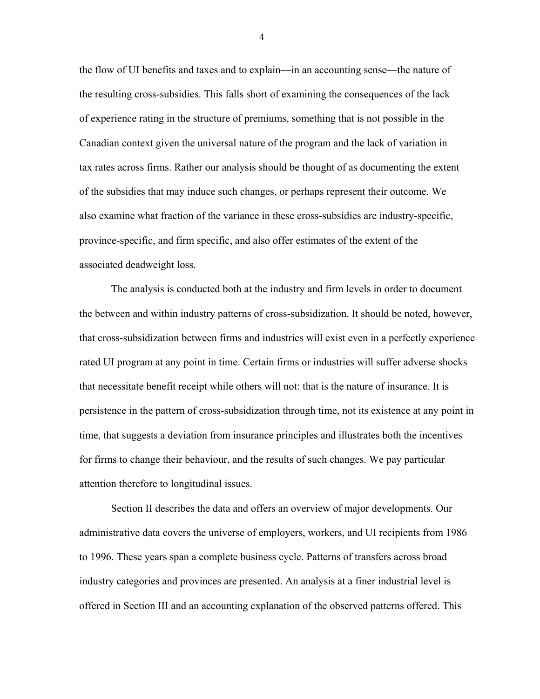the flow of UI benefits and taxes and to explain—in an accounting sense—the nature of the resulting cross-subsidies. This falls short of examining the consequences of the lack of experience rating in the structure of premiums, something that is not possible in the Canadian context given the universal nature of the program and the lack of variation in tax rates across firms. Rather our analysis should be thought of as documenting the extent of the subsidies that may induce such changes, or perhaps represent their outcome. We also examine what fraction of the variance in these cross-subsidies are industry-specific, province-specific, and firm specific, and also offer estimates of the extent of the associated deadweight loss.

The analysis is conducted both at the industry and firm levels in order to document the between and within industry patterns of cross-subsidization. It should be noted, however, that cross-subsidization between firms and industries will exist even in a perfectly experience rated UI program at any point in time. Certain firms or industries will suffer adverse shocks that necessitate benefit receipt while others will not: that is the nature of insurance. It is persistence in the pattern of cross-subsidization through time, not its existence at any point in time, that suggests a deviation from insurance principles and illustrates both the incentives for firms to change their behaviour, and the results of such changes. We pay particular attention therefore to longitudinal issues.

Section II describes the data and offers an overview of major developments. Our administrative data covers the universe of employers, workers, and UI recipients from 1986 to 1996. These years span a complete business cycle. Patterns of transfers across broad industry categories and provinces are presented. An analysis at a finer industrial level is offered in Section III and an accounting explanation of the observed patterns offered. This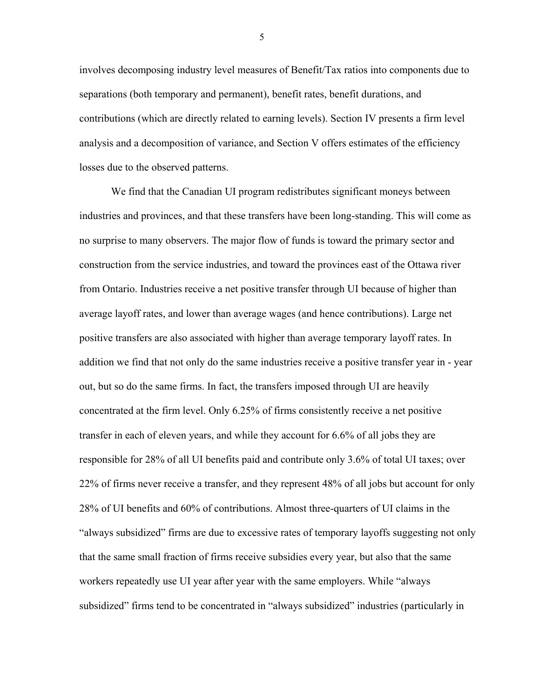involves decomposing industry level measures of Benefit/Tax ratios into components due to separations (both temporary and permanent), benefit rates, benefit durations, and contributions (which are directly related to earning levels). Section IV presents a firm level analysis and a decomposition of variance, and Section V offers estimates of the efficiency losses due to the observed patterns.

We find that the Canadian UI program redistributes significant moneys between industries and provinces, and that these transfers have been long-standing. This will come as no surprise to many observers. The major flow of funds is toward the primary sector and construction from the service industries, and toward the provinces east of the Ottawa river from Ontario. Industries receive a net positive transfer through UI because of higher than average layoff rates, and lower than average wages (and hence contributions). Large net positive transfers are also associated with higher than average temporary layoff rates. In addition we find that not only do the same industries receive a positive transfer year in - year out, but so do the same firms. In fact, the transfers imposed through UI are heavily concentrated at the firm level. Only 6.25% of firms consistently receive a net positive transfer in each of eleven years, and while they account for 6.6% of all jobs they are responsible for 28% of all UI benefits paid and contribute only 3.6% of total UI taxes; over 22% of firms never receive a transfer, and they represent 48% of all jobs but account for only 28% of UI benefits and 60% of contributions. Almost three-quarters of UI claims in the "always subsidized" firms are due to excessive rates of temporary layoffs suggesting not only that the same small fraction of firms receive subsidies every year, but also that the same workers repeatedly use UI year after year with the same employers. While "always subsidized" firms tend to be concentrated in "always subsidized" industries (particularly in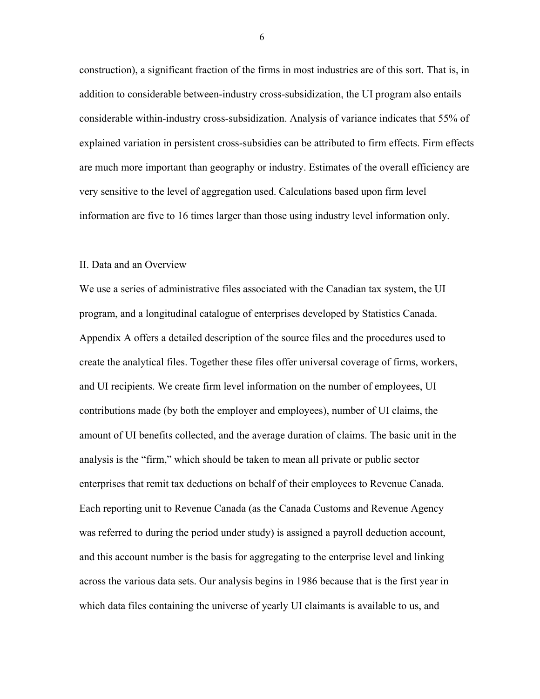construction), a significant fraction of the firms in most industries are of this sort. That is, in addition to considerable between-industry cross-subsidization, the UI program also entails considerable within-industry cross-subsidization. Analysis of variance indicates that 55% of explained variation in persistent cross-subsidies can be attributed to firm effects. Firm effects are much more important than geography or industry. Estimates of the overall efficiency are very sensitive to the level of aggregation used. Calculations based upon firm level information are five to 16 times larger than those using industry level information only.

#### II. Data and an Overview

We use a series of administrative files associated with the Canadian tax system, the UI program, and a longitudinal catalogue of enterprises developed by Statistics Canada. Appendix A offers a detailed description of the source files and the procedures used to create the analytical files. Together these files offer universal coverage of firms, workers, and UI recipients. We create firm level information on the number of employees, UI contributions made (by both the employer and employees), number of UI claims, the amount of UI benefits collected, and the average duration of claims. The basic unit in the analysis is the "firm," which should be taken to mean all private or public sector enterprises that remit tax deductions on behalf of their employees to Revenue Canada. Each reporting unit to Revenue Canada (as the Canada Customs and Revenue Agency was referred to during the period under study) is assigned a payroll deduction account, and this account number is the basis for aggregating to the enterprise level and linking across the various data sets. Our analysis begins in 1986 because that is the first year in which data files containing the universe of yearly UI claimants is available to us, and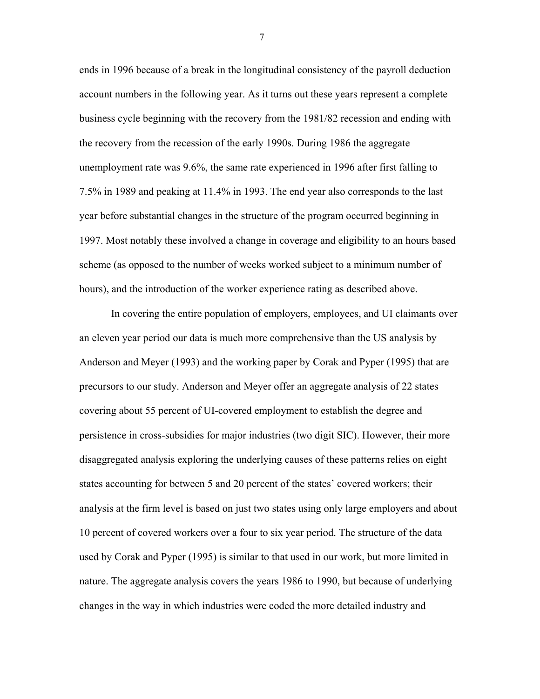ends in 1996 because of a break in the longitudinal consistency of the payroll deduction account numbers in the following year. As it turns out these years represent a complete business cycle beginning with the recovery from the 1981/82 recession and ending with the recovery from the recession of the early 1990s. During 1986 the aggregate unemployment rate was 9.6%, the same rate experienced in 1996 after first falling to 7.5% in 1989 and peaking at 11.4% in 1993. The end year also corresponds to the last year before substantial changes in the structure of the program occurred beginning in 1997. Most notably these involved a change in coverage and eligibility to an hours based scheme (as opposed to the number of weeks worked subject to a minimum number of hours), and the introduction of the worker experience rating as described above.

In covering the entire population of employers, employees, and UI claimants over an eleven year period our data is much more comprehensive than the US analysis by Anderson and Meyer (1993) and the working paper by Corak and Pyper (1995) that are precursors to our study. Anderson and Meyer offer an aggregate analysis of 22 states covering about 55 percent of UI-covered employment to establish the degree and persistence in cross-subsidies for major industries (two digit SIC). However, their more disaggregated analysis exploring the underlying causes of these patterns relies on eight states accounting for between 5 and 20 percent of the states' covered workers; their analysis at the firm level is based on just two states using only large employers and about 10 percent of covered workers over a four to six year period. The structure of the data used by Corak and Pyper (1995) is similar to that used in our work, but more limited in nature. The aggregate analysis covers the years 1986 to 1990, but because of underlying changes in the way in which industries were coded the more detailed industry and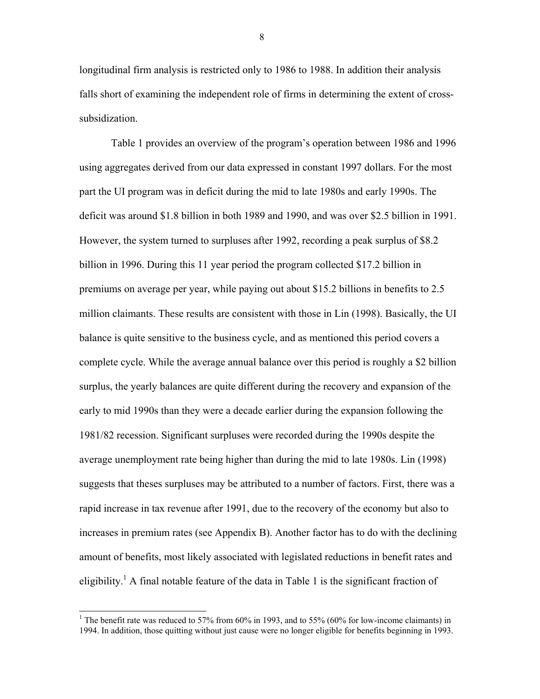longitudinal firm analysis is restricted only to 1986 to 1988. In addition their analysis falls short of examining the independent role of firms in determining the extent of crosssubsidization.

Table 1 provides an overview of the program's operation between 1986 and 1996 using aggregates derived from our data expressed in constant 1997 dollars. For the most part the UI program was in deficit during the mid to late 1980s and early 1990s. The deficit was around \$1.8 billion in both 1989 and 1990, and was over \$2.5 billion in 1991. However, the system turned to surpluses after 1992, recording a peak surplus of \$8.2 billion in 1996. During this 11 year period the program collected \$17.2 billion in premiums on average per year, while paying out about \$15.2 billions in benefits to 2.5 million claimants. These results are consistent with those in Lin (1998). Basically, the UI balance is quite sensitive to the business cycle, and as mentioned this period covers a complete cycle. While the average annual balance over this period is roughly a \$2 billion surplus, the yearly balances are quite different during the recovery and expansion of the early to mid 1990s than they were a decade earlier during the expansion following the 1981/82 recession. Significant surpluses were recorded during the 1990s despite the average unemployment rate being higher than during the mid to late 1980s. Lin (1998) suggests that theses surpluses may be attributed to a number of factors. First, there was a rapid increase in tax revenue after 1991, due to the recovery of the economy but also to increases in premium rates (see Appendix B). Another factor has to do with the declining amount of benefits, most likely associated with legislated reductions in benefit rates and eligibility.<sup>[1](#page-9-0)</sup> A final notable feature of the data in Table 1 is the significant fraction of

 $\overline{a}$ 

<span id="page-9-0"></span><sup>&</sup>lt;sup>1</sup> The benefit rate was reduced to 57% from  $60\%$  in 1993, and to 55% ( $60\%$  for low-income claimants) in 1994. In addition, those quitting without just cause were no longer eligible for benefits beginning in 1993.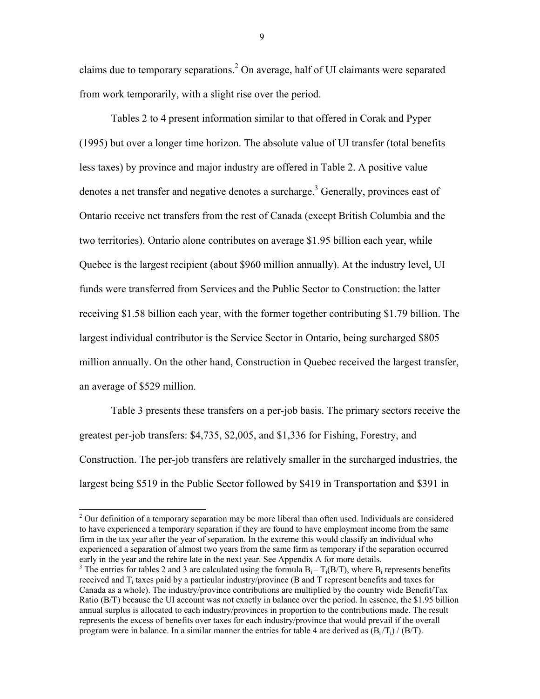claims due to temporary separations.<sup>2</sup> On average, half of UI claimants were separated from work temporarily, with a slight rise over the period.

Tables 2 to 4 present information similar to that offered in Corak and Pyper (1995) but over a longer time horizon. The absolute value of UI transfer (total benefits less taxes) by province and major industry are offered in Table 2. A positive value denotes a net transfer and negative denotes a surcharge.<sup>[3](#page-10-1)</sup> Generally, provinces east of Ontario receive net transfers from the rest of Canada (except British Columbia and the two territories). Ontario alone contributes on average \$1.95 billion each year, while Quebec is the largest recipient (about \$960 million annually). At the industry level, UI funds were transferred from Services and the Public Sector to Construction: the latter receiving \$1.58 billion each year, with the former together contributing \$1.79 billion. The largest individual contributor is the Service Sector in Ontario, being surcharged \$805 million annually. On the other hand, Construction in Quebec received the largest transfer, an average of \$529 million.

Table 3 presents these transfers on a per-job basis. The primary sectors receive the greatest per-job transfers: \$4,735, \$2,005, and \$1,336 for Fishing, Forestry, and Construction. The per-job transfers are relatively smaller in the surcharged industries, the largest being \$519 in the Public Sector followed by \$419 in Transportation and \$391 in

 $\overline{a}$ 

<span id="page-10-0"></span> $2$  Our definition of a temporary separation may be more liberal than often used. Individuals are considered to have experienced a temporary separation if they are found to have employment income from the same firm in the tax year after the year of separation. In the extreme this would classify an individual who experienced a separation of almost two years from the same firm as temporary if the separation occurred early in the year and the rehire late in the next year. See Appendix A for more details.

<span id="page-10-1"></span><sup>&</sup>lt;sup>3</sup> The entries for tables 2 and 3 are calculated using the formula  $B_i - T_i(B/T)$ , where  $B_i$  represents benefits received and  $T_i$  taxes paid by a particular industry/province (B and T represent benefits and taxes for Canada as a whole). The industry/province contributions are multiplied by the country wide Benefit/Tax Ratio (B/T) because the UI account was not exactly in balance over the period. In essence, the \$1.95 billion annual surplus is allocated to each industry/provinces in proportion to the contributions made. The result represents the excess of benefits over taxes for each industry/province that would prevail if the overall program were in balance. In a similar manner the entries for table 4 are derived as  $(B_i/T_i) / (B/T)$ .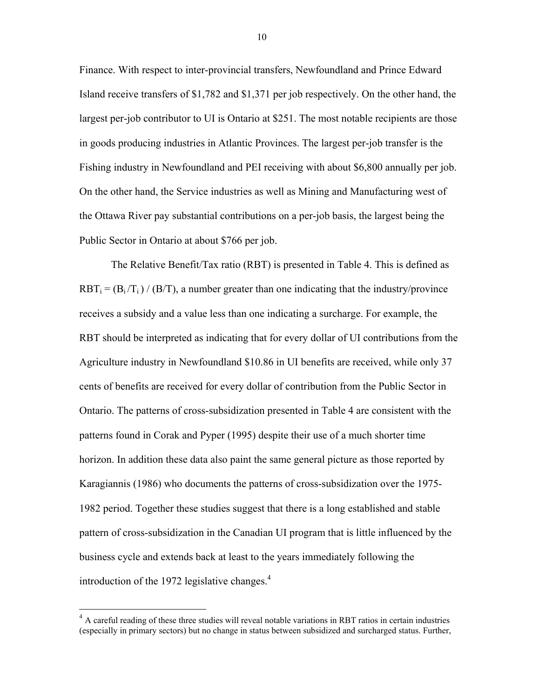<span id="page-11-0"></span>Finance. With respect to inter-provincial transfers, Newfoundland and Prince Edward Island receive transfers of \$1,782 and \$1,371 per job respectively. On the other hand, the largest per-job contributor to UI is Ontario at \$251. The most notable recipients are those in goods producing industries in Atlantic Provinces. The largest per-job transfer is the Fishing industry in Newfoundland and PEI receiving with about \$6,800 annually per job. On the other hand, the Service industries as well as Mining and Manufacturing west of the Ottawa River pay substantial contributions on a per-job basis, the largest being the Public Sector in Ontario at about \$766 per job.

The Relative Benefit/Tax ratio (RBT) is presented in Table 4. This is defined as  $RBT_i = (B_i/T_i) / (B/T_i)$ , a number greater than one indicating that the industry/province receives a subsidy and a value less than one indicating a surcharge. For example, the RBT should be interpreted as indicating that for every dollar of UI contributions from the Agriculture industry in Newfoundland \$10.86 in UI benefits are received, while only 37 cents of benefits are received for every dollar of contribution from the Public Sector in Ontario. The patterns of cross-subsidization presented in Table 4 are consistent with the patterns found in Corak and Pyper (1995) despite their use of a much shorter time horizon. In addition these data also paint the same general picture as those reported by Karagiannis (1986) who documents the patterns of cross-subsidization over the 1975- 1982 period. Together these studies suggest that there is a long established and stable pattern of cross-subsidization in the Canadian UI program that is little influenced by the business cycle and extends back at least to the years immediately following the introduction of the 1972 legislative changes. $4$ 

 $\overline{a}$ 

<sup>&</sup>lt;sup>4</sup> A careful reading of these three studies will reveal notable variations in RBT ratios in certain industries (especially in primary sectors) but no change in status between subsidized and surcharged status. Further,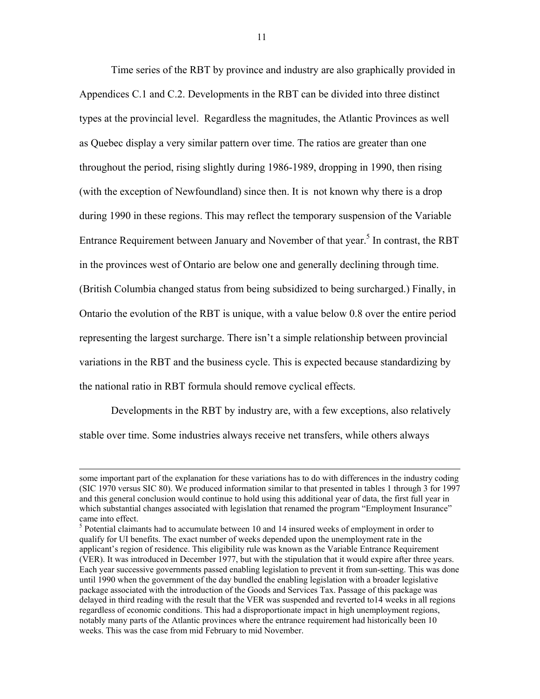Time series of the RBT by province and industry are also graphically provided in Appendices C.1 and C.2. Developments in the RBT can be divided into three distinct types at the provincial level. Regardless the magnitudes, the Atlantic Provinces as well as Quebec display a very similar pattern over time. The ratios are greater than one throughout the period, rising slightly during 1986-1989, dropping in 1990, then rising (with the exception of Newfoundland) since then. It is not known why there is a drop during 1990 in these regions. This may reflect the temporary suspension of the Variable Entrance Requirement between January and November of that year.<sup>[5](#page-12-0)</sup> In contrast, the RBT in the provinces west of Ontario are below one and generally declining through time. (British Columbia changed status from being subsidized to being surcharged.) Finally, in Ontario the evolution of the RBT is unique, with a value below 0.8 over the entire period representing the largest surcharge. There isn't a simple relationship between provincial variations in the RBT and the business cycle. This is expected because standardizing by the national ratio in RBT formula should remove cyclical effects.

Developments in the RBT by industry are, with a few exceptions, also relatively stable over time. Some industries always receive net transfers, while others always

 $\overline{a}$ 

some important part of the explanation for these variations has to do with differences in the industry coding (SIC 1970 versus SIC 80). We produced information similar to that presented in tables 1 through 3 for 1997 and this general conclusion would continue to hold using this additional year of data, the first full year in which substantial changes associated with legislation that renamed the program "Employment Insurance" came into effect.

<span id="page-12-0"></span><sup>5</sup> Potential claimants had to accumulate between 10 and 14 insured weeks of employment in order to qualify for UI benefits. The exact number of weeks depended upon the unemployment rate in the applicant's region of residence. This eligibility rule was known as the Variable Entrance Requirement (VER). It was introduced in December 1977, but with the stipulation that it would expire after three years. Each year successive governments passed enabling legislation to prevent it from sun-setting. This was done until 1990 when the government of the day bundled the enabling legislation with a broader legislative package associated with the introduction of the Goods and Services Tax. Passage of this package was delayed in third reading with the result that the VER was suspended and reverted to14 weeks in all regions regardless of economic conditions. This had a disproportionate impact in high unemployment regions, notably many parts of the Atlantic provinces where the entrance requirement had historically been 10 weeks. This was the case from mid February to mid November.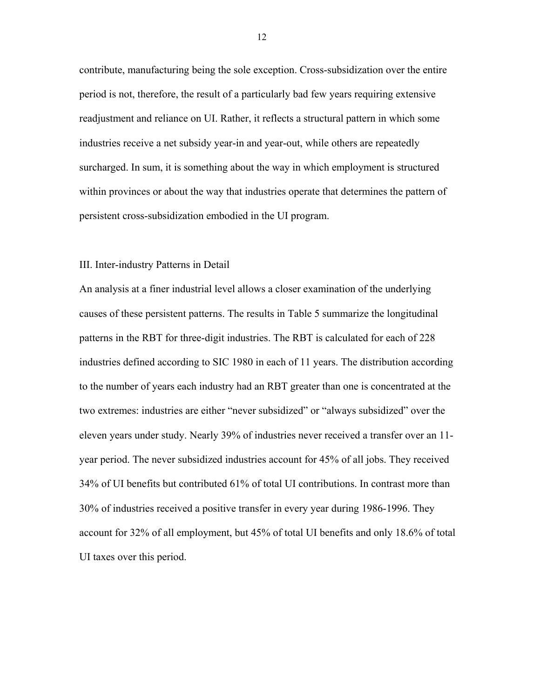contribute, manufacturing being the sole exception. Cross-subsidization over the entire period is not, therefore, the result of a particularly bad few years requiring extensive readjustment and reliance on UI. Rather, it reflects a structural pattern in which some industries receive a net subsidy year-in and year-out, while others are repeatedly surcharged. In sum, it is something about the way in which employment is structured within provinces or about the way that industries operate that determines the pattern of persistent cross-subsidization embodied in the UI program.

#### III. Inter-industry Patterns in Detail

An analysis at a finer industrial level allows a closer examination of the underlying causes of these persistent patterns. The results in Table 5 summarize the longitudinal patterns in the RBT for three-digit industries. The RBT is calculated for each of 228 industries defined according to SIC 1980 in each of 11 years. The distribution according to the number of years each industry had an RBT greater than one is concentrated at the two extremes: industries are either "never subsidized" or "always subsidized" over the eleven years under study. Nearly 39% of industries never received a transfer over an 11 year period. The never subsidized industries account for 45% of all jobs. They received 34% of UI benefits but contributed 61% of total UI contributions. In contrast more than 30% of industries received a positive transfer in every year during 1986-1996. They account for 32% of all employment, but 45% of total UI benefits and only 18.6% of total UI taxes over this period.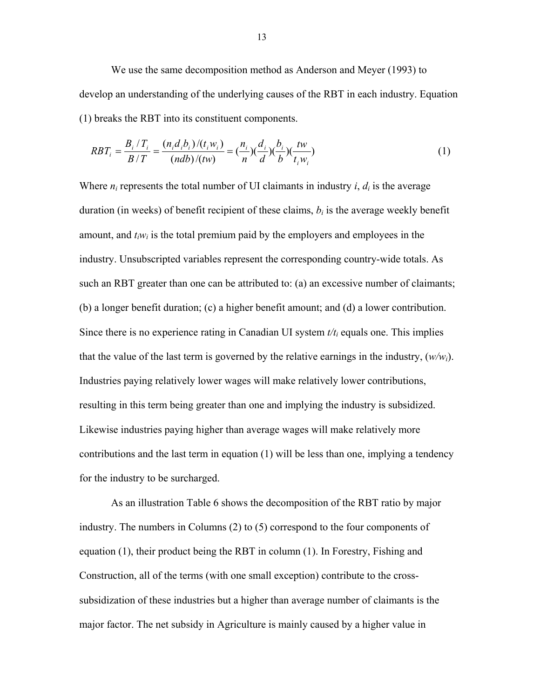We use the same decomposition method as Anderson and Meyer (1993) to develop an understanding of the underlying causes of the RBT in each industry. Equation (1) breaks the RBT into its constituent components.

$$
RBT_i = \frac{B_i / T_i}{B / T} = \frac{(n_i d_i b_i) / (t_i w_i)}{(ndb) / (tw)} = \frac{(n_i)}{n} (\frac{d_i}{d}) (\frac{b_i}{b}) (\frac{tw}{t_i w_i})
$$
(1)

Where  $n_i$  represents the total number of UI claimants in industry  $i$ ,  $d_i$  is the average duration (in weeks) of benefit recipient of these claims,  $b_i$  is the average weekly benefit amount, and  $t_iw_i$  is the total premium paid by the employers and employees in the industry. Unsubscripted variables represent the corresponding country-wide totals. As such an RBT greater than one can be attributed to: (a) an excessive number of claimants; (b) a longer benefit duration; (c) a higher benefit amount; and (d) a lower contribution. Since there is no experience rating in Canadian UI system  $t/t_i$  equals one. This implies that the value of the last term is governed by the relative earnings in the industry,  $(w/w_i)$ . Industries paying relatively lower wages will make relatively lower contributions, resulting in this term being greater than one and implying the industry is subsidized. Likewise industries paying higher than average wages will make relatively more contributions and the last term in equation (1) will be less than one, implying a tendency for the industry to be surcharged.

As an illustration Table 6 shows the decomposition of the RBT ratio by major industry. The numbers in Columns (2) to (5) correspond to the four components of equation (1), their product being the RBT in column (1). In Forestry, Fishing and Construction, all of the terms (with one small exception) contribute to the crosssubsidization of these industries but a higher than average number of claimants is the major factor. The net subsidy in Agriculture is mainly caused by a higher value in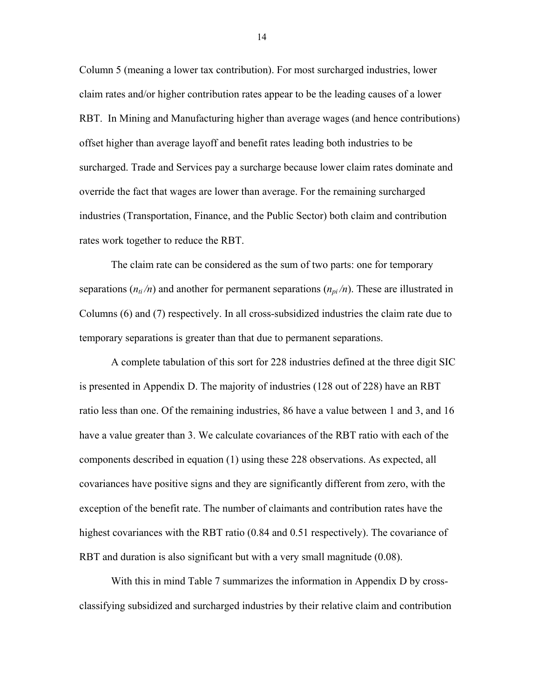Column 5 (meaning a lower tax contribution). For most surcharged industries, lower claim rates and/or higher contribution rates appear to be the leading causes of a lower RBT. In Mining and Manufacturing higher than average wages (and hence contributions) offset higher than average layoff and benefit rates leading both industries to be surcharged. Trade and Services pay a surcharge because lower claim rates dominate and override the fact that wages are lower than average. For the remaining surcharged industries (Transportation, Finance, and the Public Sector) both claim and contribution rates work together to reduce the RBT.

The claim rate can be considered as the sum of two parts: one for temporary separations  $(n_{ti}/n)$  and another for permanent separations  $(n_{vi}/n)$ . These are illustrated in Columns (6) and (7) respectively. In all cross-subsidized industries the claim rate due to temporary separations is greater than that due to permanent separations.

A complete tabulation of this sort for 228 industries defined at the three digit SIC is presented in Appendix D. The majority of industries (128 out of 228) have an RBT ratio less than one. Of the remaining industries, 86 have a value between 1 and 3, and 16 have a value greater than 3. We calculate covariances of the RBT ratio with each of the components described in equation (1) using these 228 observations. As expected, all covariances have positive signs and they are significantly different from zero, with the exception of the benefit rate. The number of claimants and contribution rates have the highest covariances with the RBT ratio (0.84 and 0.51 respectively). The covariance of RBT and duration is also significant but with a very small magnitude (0.08).

With this in mind Table 7 summarizes the information in Appendix D by crossclassifying subsidized and surcharged industries by their relative claim and contribution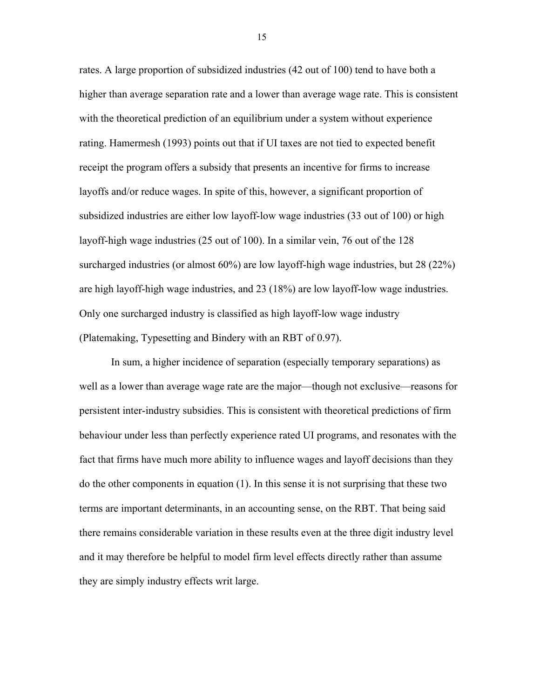rates. A large proportion of subsidized industries (42 out of 100) tend to have both a higher than average separation rate and a lower than average wage rate. This is consistent with the theoretical prediction of an equilibrium under a system without experience rating. Hamermesh (1993) points out that if UI taxes are not tied to expected benefit receipt the program offers a subsidy that presents an incentive for firms to increase layoffs and/or reduce wages. In spite of this, however, a significant proportion of subsidized industries are either low layoff-low wage industries (33 out of 100) or high layoff-high wage industries (25 out of 100). In a similar vein, 76 out of the 128 surcharged industries (or almost 60%) are low layoff-high wage industries, but 28 (22%) are high layoff-high wage industries, and 23 (18%) are low layoff-low wage industries. Only one surcharged industry is classified as high layoff-low wage industry (Platemaking, Typesetting and Bindery with an RBT of 0.97).

In sum, a higher incidence of separation (especially temporary separations) as well as a lower than average wage rate are the major—though not exclusive—reasons for persistent inter-industry subsidies. This is consistent with theoretical predictions of firm behaviour under less than perfectly experience rated UI programs, and resonates with the fact that firms have much more ability to influence wages and layoff decisions than they do the other components in equation (1). In this sense it is not surprising that these two terms are important determinants, in an accounting sense, on the RBT. That being said there remains considerable variation in these results even at the three digit industry level and it may therefore be helpful to model firm level effects directly rather than assume they are simply industry effects writ large.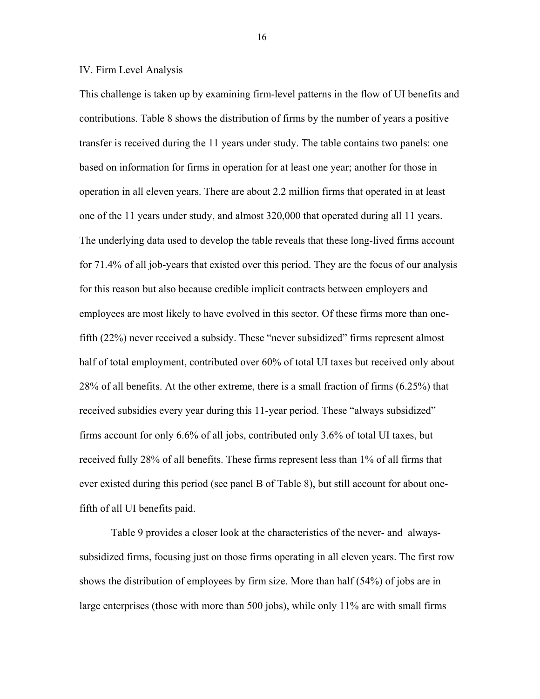#### IV. Firm Level Analysis

This challenge is taken up by examining firm-level patterns in the flow of UI benefits and contributions. Table 8 shows the distribution of firms by the number of years a positive transfer is received during the 11 years under study. The table contains two panels: one based on information for firms in operation for at least one year; another for those in operation in all eleven years. There are about 2.2 million firms that operated in at least one of the 11 years under study, and almost 320,000 that operated during all 11 years. The underlying data used to develop the table reveals that these long-lived firms account for 71.4% of all job-years that existed over this period. They are the focus of our analysis for this reason but also because credible implicit contracts between employers and employees are most likely to have evolved in this sector. Of these firms more than onefifth (22%) never received a subsidy. These "never subsidized" firms represent almost half of total employment, contributed over 60% of total UI taxes but received only about 28% of all benefits. At the other extreme, there is a small fraction of firms (6.25%) that received subsidies every year during this 11-year period. These "always subsidized" firms account for only 6.6% of all jobs, contributed only 3.6% of total UI taxes, but received fully 28% of all benefits. These firms represent less than 1% of all firms that ever existed during this period (see panel B of Table 8), but still account for about onefifth of all UI benefits paid.

Table 9 provides a closer look at the characteristics of the never- and alwayssubsidized firms, focusing just on those firms operating in all eleven years. The first row shows the distribution of employees by firm size. More than half (54%) of jobs are in large enterprises (those with more than 500 jobs), while only 11% are with small firms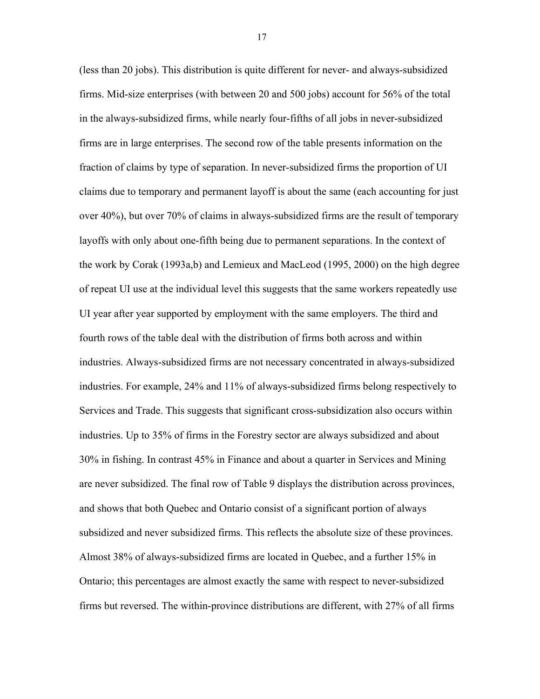(less than 20 jobs). This distribution is quite different for never- and always-subsidized firms. Mid-size enterprises (with between 20 and 500 jobs) account for 56% of the total in the always-subsidized firms, while nearly four-fifths of all jobs in never-subsidized firms are in large enterprises. The second row of the table presents information on the fraction of claims by type of separation. In never-subsidized firms the proportion of UI claims due to temporary and permanent layoff is about the same (each accounting for just over 40%), but over 70% of claims in always-subsidized firms are the result of temporary layoffs with only about one-fifth being due to permanent separations. In the context of the work by Corak (1993a,b) and Lemieux and MacLeod (1995, 2000) on the high degree of repeat UI use at the individual level this suggests that the same workers repeatedly use UI year after year supported by employment with the same employers. The third and fourth rows of the table deal with the distribution of firms both across and within industries. Always-subsidized firms are not necessary concentrated in always-subsidized industries. For example, 24% and 11% of always-subsidized firms belong respectively to Services and Trade. This suggests that significant cross-subsidization also occurs within industries. Up to 35% of firms in the Forestry sector are always subsidized and about 30% in fishing. In contrast 45% in Finance and about a quarter in Services and Mining are never subsidized. The final row of Table 9 displays the distribution across provinces, and shows that both Quebec and Ontario consist of a significant portion of always subsidized and never subsidized firms. This reflects the absolute size of these provinces. Almost 38% of always-subsidized firms are located in Quebec, and a further 15% in Ontario; this percentages are almost exactly the same with respect to never-subsidized firms but reversed. The within-province distributions are different, with 27% of all firms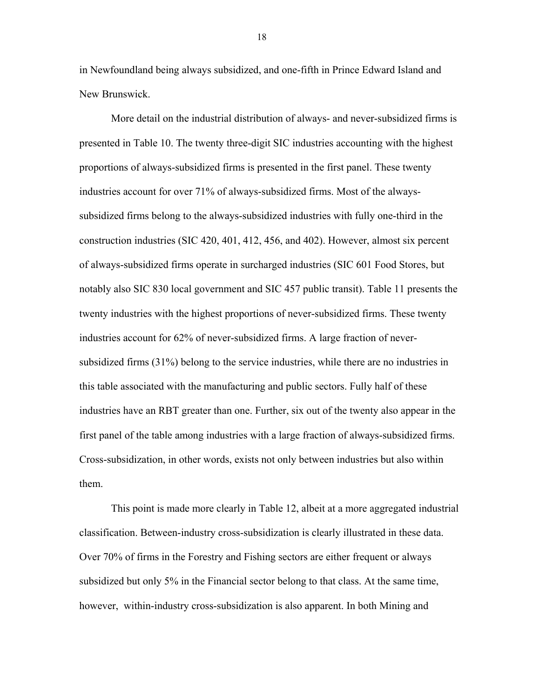in Newfoundland being always subsidized, and one-fifth in Prince Edward Island and New Brunswick.

More detail on the industrial distribution of always- and never-subsidized firms is presented in Table 10. The twenty three-digit SIC industries accounting with the highest proportions of always-subsidized firms is presented in the first panel. These twenty industries account for over 71% of always-subsidized firms. Most of the alwayssubsidized firms belong to the always-subsidized industries with fully one-third in the construction industries (SIC 420, 401, 412, 456, and 402). However, almost six percent of always-subsidized firms operate in surcharged industries (SIC 601 Food Stores, but notably also SIC 830 local government and SIC 457 public transit). Table 11 presents the twenty industries with the highest proportions of never-subsidized firms. These twenty industries account for 62% of never-subsidized firms. A large fraction of neversubsidized firms (31%) belong to the service industries, while there are no industries in this table associated with the manufacturing and public sectors. Fully half of these industries have an RBT greater than one. Further, six out of the twenty also appear in the first panel of the table among industries with a large fraction of always-subsidized firms. Cross-subsidization, in other words, exists not only between industries but also within them.

This point is made more clearly in Table 12, albeit at a more aggregated industrial classification. Between-industry cross-subsidization is clearly illustrated in these data. Over 70% of firms in the Forestry and Fishing sectors are either frequent or always subsidized but only 5% in the Financial sector belong to that class. At the same time, however, within-industry cross-subsidization is also apparent. In both Mining and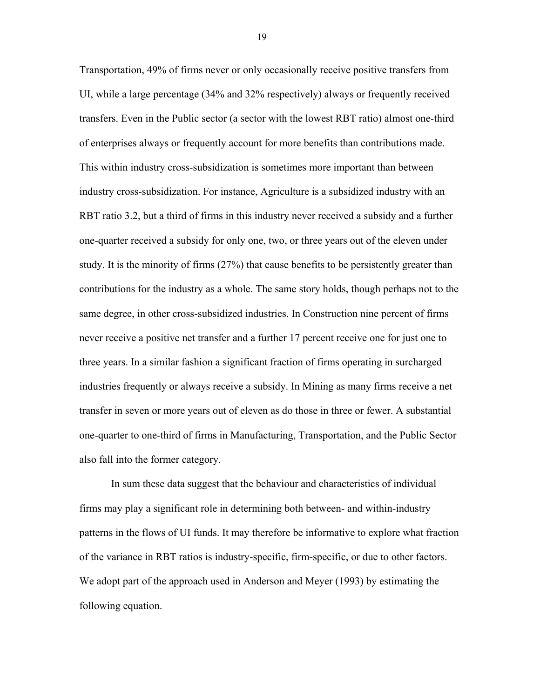Transportation, 49% of firms never or only occasionally receive positive transfers from UI, while a large percentage (34% and 32% respectively) always or frequently received transfers. Even in the Public sector (a sector with the lowest RBT ratio) almost one-third of enterprises always or frequently account for more benefits than contributions made. This within industry cross-subsidization is sometimes more important than between industry cross-subsidization. For instance, Agriculture is a subsidized industry with an RBT ratio 3.2, but a third of firms in this industry never received a subsidy and a further one-quarter received a subsidy for only one, two, or three years out of the eleven under study. It is the minority of firms (27%) that cause benefits to be persistently greater than contributions for the industry as a whole. The same story holds, though perhaps not to the same degree, in other cross-subsidized industries. In Construction nine percent of firms never receive a positive net transfer and a further 17 percent receive one for just one to three years. In a similar fashion a significant fraction of firms operating in surcharged industries frequently or always receive a subsidy. In Mining as many firms receive a net transfer in seven or more years out of eleven as do those in three or fewer. A substantial one-quarter to one-third of firms in Manufacturing, Transportation, and the Public Sector also fall into the former category.

In sum these data suggest that the behaviour and characteristics of individual firms may play a significant role in determining both between- and within-industry patterns in the flows of UI funds. It may therefore be informative to explore what fraction of the variance in RBT ratios is industry-specific, firm-specific, or due to other factors. We adopt part of the approach used in Anderson and Meyer (1993) by estimating the following equation.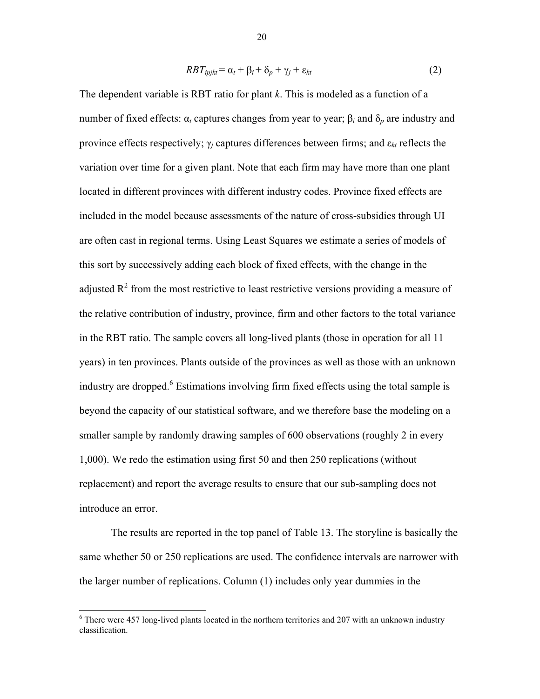$$
RBT_{ipjkt} = \alpha_t + \beta_i + \delta_p + \gamma_j + \varepsilon_{kt}
$$
\n<sup>(2)</sup>

The dependent variable is RBT ratio for plant *k*. This is modeled as a function of a number of fixed effects:  $α_t$  captures changes from year to year;  $β_t$  and  $δ_p$  are industry and province effects respectively;  $\gamma_i$  captures differences between firms; and  $\varepsilon_{kt}$  reflects the variation over time for a given plant. Note that each firm may have more than one plant located in different provinces with different industry codes. Province fixed effects are included in the model because assessments of the nature of cross-subsidies through UI are often cast in regional terms. Using Least Squares we estimate a series of models of this sort by successively adding each block of fixed effects, with the change in the adjusted  $\mathbb{R}^2$  from the most restrictive to least restrictive versions providing a measure of the relative contribution of industry, province, firm and other factors to the total variance in the RBT ratio. The sample covers all long-lived plants (those in operation for all 11 years) in ten provinces. Plants outside of the provinces as well as those with an unknown industry are dropped.<sup>6</sup> Estimations involving firm fixed effects using the total sample is beyond the capacity of our statistical software, and we therefore base the modeling on a smaller sample by randomly drawing samples of 600 observations (roughly 2 in every 1,000). We redo the estimation using first 50 and then 250 replications (without replacement) and report the average results to ensure that our sub-sampling does not introduce an error.

The results are reported in the top panel of Table 13. The storyline is basically the same whether 50 or 250 replications are used. The confidence intervals are narrower with the larger number of replications. Column (1) includes only year dummies in the

 $\overline{a}$ 

<span id="page-21-0"></span> $6$  There were 457 long-lived plants located in the northern territories and 207 with an unknown industry classification.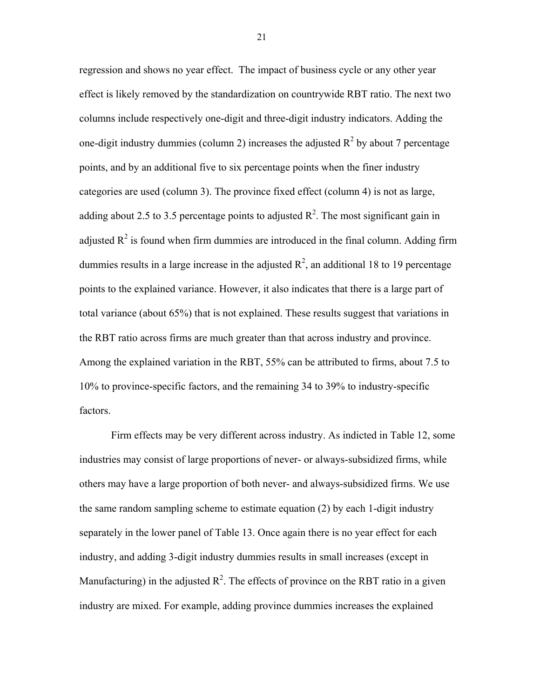regression and shows no year effect. The impact of business cycle or any other year effect is likely removed by the standardization on countrywide RBT ratio. The next two columns include respectively one-digit and three-digit industry indicators. Adding the one-digit industry dummies (column 2) increases the adjusted  $R^2$  by about 7 percentage points, and by an additional five to six percentage points when the finer industry categories are used (column 3). The province fixed effect (column 4) is not as large, adding about 2.5 to 3.5 percentage points to adjusted  $\mathbb{R}^2$ . The most significant gain in adjusted  $R^2$  is found when firm dummies are introduced in the final column. Adding firm dummies results in a large increase in the adjusted  $\mathbb{R}^2$ , an additional 18 to 19 percentage points to the explained variance. However, it also indicates that there is a large part of total variance (about 65%) that is not explained. These results suggest that variations in the RBT ratio across firms are much greater than that across industry and province. Among the explained variation in the RBT, 55% can be attributed to firms, about 7.5 to 10% to province-specific factors, and the remaining 34 to 39% to industry-specific factors.

Firm effects may be very different across industry. As indicted in Table 12, some industries may consist of large proportions of never- or always-subsidized firms, while others may have a large proportion of both never- and always-subsidized firms. We use the same random sampling scheme to estimate equation (2) by each 1-digit industry separately in the lower panel of Table 13. Once again there is no year effect for each industry, and adding 3-digit industry dummies results in small increases (except in Manufacturing) in the adjusted  $R^2$ . The effects of province on the RBT ratio in a given industry are mixed. For example, adding province dummies increases the explained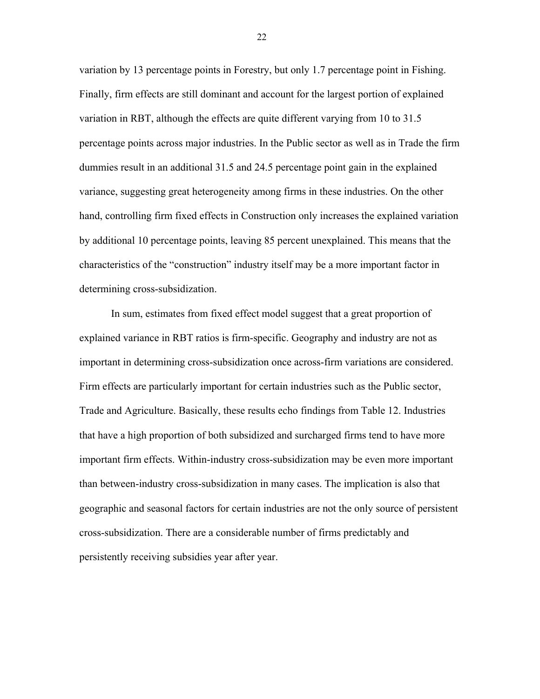variation by 13 percentage points in Forestry, but only 1.7 percentage point in Fishing. Finally, firm effects are still dominant and account for the largest portion of explained variation in RBT, although the effects are quite different varying from 10 to 31.5 percentage points across major industries. In the Public sector as well as in Trade the firm dummies result in an additional 31.5 and 24.5 percentage point gain in the explained variance, suggesting great heterogeneity among firms in these industries. On the other hand, controlling firm fixed effects in Construction only increases the explained variation by additional 10 percentage points, leaving 85 percent unexplained. This means that the characteristics of the "construction" industry itself may be a more important factor in determining cross-subsidization.

In sum, estimates from fixed effect model suggest that a great proportion of explained variance in RBT ratios is firm-specific. Geography and industry are not as important in determining cross-subsidization once across-firm variations are considered. Firm effects are particularly important for certain industries such as the Public sector, Trade and Agriculture. Basically, these results echo findings from Table 12. Industries that have a high proportion of both subsidized and surcharged firms tend to have more important firm effects. Within-industry cross-subsidization may be even more important than between-industry cross-subsidization in many cases. The implication is also that geographic and seasonal factors for certain industries are not the only source of persistent cross-subsidization. There are a considerable number of firms predictably and persistently receiving subsidies year after year.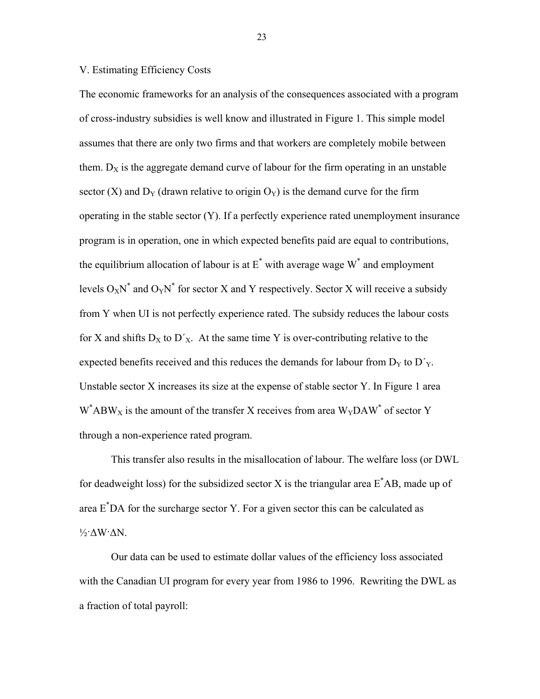#### V. Estimating Efficiency Costs

The economic frameworks for an analysis of the consequences associated with a program of cross-industry subsidies is well know and illustrated in Figure 1. This simple model assumes that there are only two firms and that workers are completely mobile between them.  $D_X$  is the aggregate demand curve of labour for the firm operating in an unstable sector (X) and  $D_Y$  (drawn relative to origin  $O_Y$ ) is the demand curve for the firm operating in the stable sector (Y). If a perfectly experience rated unemployment insurance program is in operation, one in which expected benefits paid are equal to contributions, the equilibrium allocation of labour is at  $E^*$  with average wage  $W^*$  and employment levels  $O_XN^*$  and  $O_YN^*$  for sector X and Y respectively. Sector X will receive a subsidy from Y when UI is not perfectly experience rated. The subsidy reduces the labour costs for X and shifts  $D_X$  to  $D'_X$ . At the same time Y is over-contributing relative to the expected benefits received and this reduces the demands for labour from  $D<sub>Y</sub>$  to  $D<sub>Y</sub>$ . Unstable sector X increases its size at the expense of stable sector Y. In Figure 1 area  $W^*$ ABW<sub>X</sub> is the amount of the transfer X receives from area  $W_Y$ DAW<sup>\*</sup> of sector Y through a non-experience rated program.

This transfer also results in the misallocation of labour. The welfare loss (or DWL for deadweight loss) for the subsidized sector X is the triangular area  $E^*AB$ , made up of area E\* DA for the surcharge sector Y. For a given sector this can be calculated as ½·∆W·∆N.

Our data can be used to estimate dollar values of the efficiency loss associated with the Canadian UI program for every year from 1986 to 1996. Rewriting the DWL as a fraction of total payroll: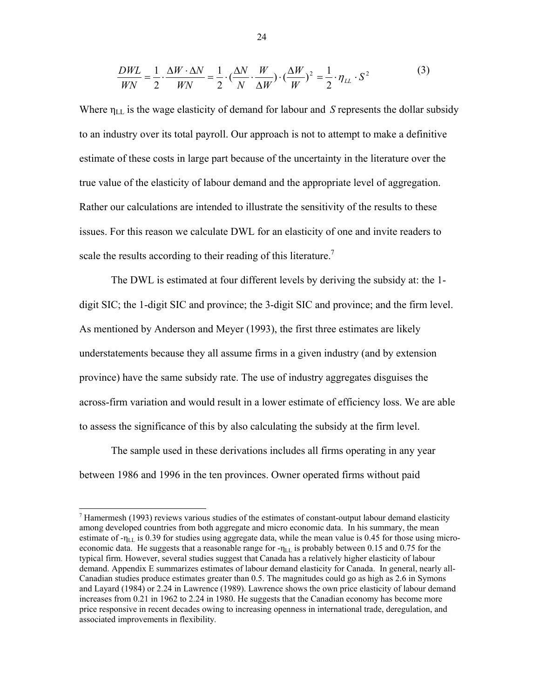$$
\frac{DWL}{WN} = \frac{1}{2} \cdot \frac{\Delta W \cdot \Delta N}{WN} = \frac{1}{2} \cdot \left(\frac{\Delta N}{N} \cdot \frac{W}{\Delta W}\right) \cdot \left(\frac{\Delta W}{W}\right)^2 = \frac{1}{2} \cdot \eta_{LL} \cdot S^2 \tag{3}
$$

Where ηLL is the wage elasticity of demand for labour and *S* represents the dollar subsidy to an industry over its total payroll. Our approach is not to attempt to make a definitive estimate of these costs in large part because of the uncertainty in the literature over the true value of the elasticity of labour demand and the appropriate level of aggregation. Rather our calculations are intended to illustrate the sensitivity of the results to these issues. For this reason we calculate DWL for an elasticity of one and invite readers to scale the results according to their reading of this literature.<sup>7</sup>

The DWL is estimated at four different levels by deriving the subsidy at: the 1 digit SIC; the 1-digit SIC and province; the 3-digit SIC and province; and the firm level. As mentioned by Anderson and Meyer (1993), the first three estimates are likely understatements because they all assume firms in a given industry (and by extension province) have the same subsidy rate. The use of industry aggregates disguises the across-firm variation and would result in a lower estimate of efficiency loss. We are able to assess the significance of this by also calculating the subsidy at the firm level.

The sample used in these derivations includes all firms operating in any year between 1986 and 1996 in the ten provinces. Owner operated firms without paid

 $\overline{a}$ 

<span id="page-25-0"></span><sup>7</sup> Hamermesh (1993) reviews various studies of the estimates of constant-output labour demand elasticity among developed countries from both aggregate and micro economic data. In his summary, the mean estimate of  $-\eta_{LL}$  is 0.39 for studies using aggregate data, while the mean value is 0.45 for those using microeconomic data. He suggests that a reasonable range for  $-\eta_{LL}$  is probably between 0.15 and 0.75 for the typical firm. However, several studies suggest that Canada has a relatively higher elasticity of labour demand. Appendix E summarizes estimates of labour demand elasticity for Canada. In general, nearly all-Canadian studies produce estimates greater than 0.5. The magnitudes could go as high as 2.6 in Symons and Layard (1984) or 2.24 in Lawrence (1989). Lawrence shows the own price elasticity of labour demand increases from 0.21 in 1962 to 2.24 in 1980. He suggests that the Canadian economy has become more price responsive in recent decades owing to increasing openness in international trade, deregulation, and associated improvements in flexibility.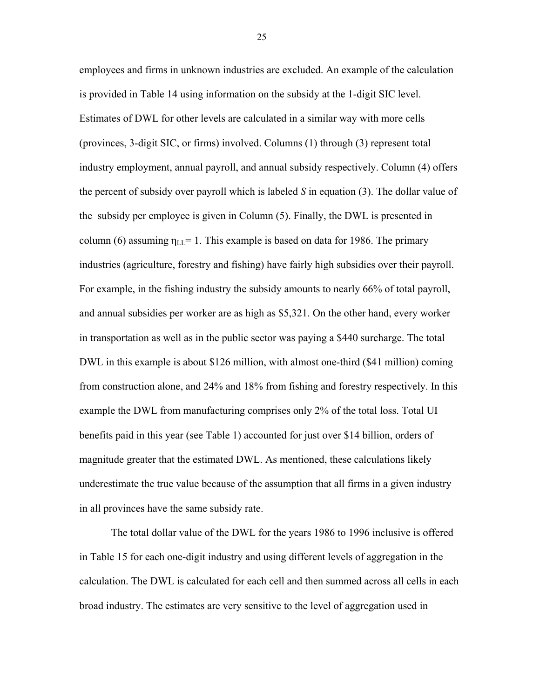employees and firms in unknown industries are excluded. An example of the calculation is provided in Table 14 using information on the subsidy at the 1-digit SIC level. Estimates of DWL for other levels are calculated in a similar way with more cells (provinces, 3-digit SIC, or firms) involved. Columns (1) through (3) represent total industry employment, annual payroll, and annual subsidy respectively. Column (4) offers the percent of subsidy over payroll which is labeled *S* in equation (3). The dollar value of the subsidy per employee is given in Column (5). Finally, the DWL is presented in column (6) assuming  $\eta_{LL} = 1$ . This example is based on data for 1986. The primary industries (agriculture, forestry and fishing) have fairly high subsidies over their payroll. For example, in the fishing industry the subsidy amounts to nearly 66% of total payroll, and annual subsidies per worker are as high as \$5,321. On the other hand, every worker in transportation as well as in the public sector was paying a \$440 surcharge. The total DWL in this example is about \$126 million, with almost one-third (\$41 million) coming from construction alone, and 24% and 18% from fishing and forestry respectively. In this example the DWL from manufacturing comprises only 2% of the total loss. Total UI benefits paid in this year (see Table 1) accounted for just over \$14 billion, orders of magnitude greater that the estimated DWL. As mentioned, these calculations likely underestimate the true value because of the assumption that all firms in a given industry in all provinces have the same subsidy rate.

The total dollar value of the DWL for the years 1986 to 1996 inclusive is offered in Table 15 for each one-digit industry and using different levels of aggregation in the calculation. The DWL is calculated for each cell and then summed across all cells in each broad industry. The estimates are very sensitive to the level of aggregation used in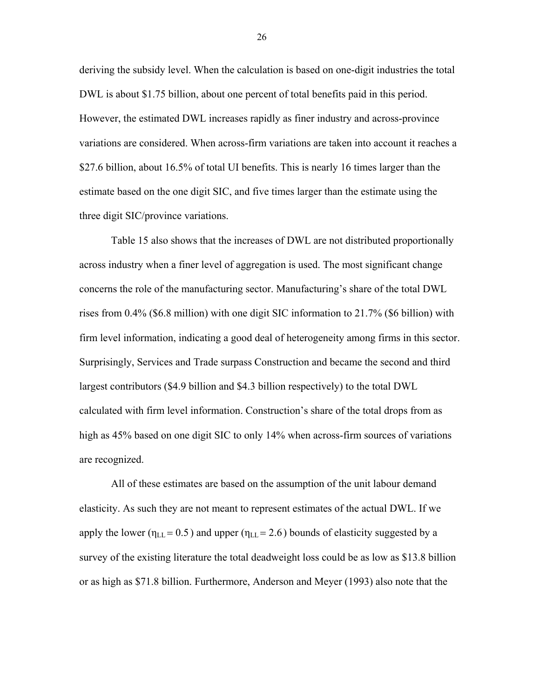deriving the subsidy level. When the calculation is based on one-digit industries the total DWL is about \$1.75 billion, about one percent of total benefits paid in this period. However, the estimated DWL increases rapidly as finer industry and across-province variations are considered. When across-firm variations are taken into account it reaches a \$27.6 billion, about 16.5% of total UI benefits. This is nearly 16 times larger than the estimate based on the one digit SIC, and five times larger than the estimate using the three digit SIC/province variations.

Table 15 also shows that the increases of DWL are not distributed proportionally across industry when a finer level of aggregation is used. The most significant change concerns the role of the manufacturing sector. Manufacturing's share of the total DWL rises from 0.4% (\$6.8 million) with one digit SIC information to 21.7% (\$6 billion) with firm level information, indicating a good deal of heterogeneity among firms in this sector. Surprisingly, Services and Trade surpass Construction and became the second and third largest contributors (\$4.9 billion and \$4.3 billion respectively) to the total DWL calculated with firm level information. Construction's share of the total drops from as high as 45% based on one digit SIC to only 14% when across-firm sources of variations are recognized.

All of these estimates are based on the assumption of the unit labour demand elasticity. As such they are not meant to represent estimates of the actual DWL. If we apply the lower ( $\eta_{LL}$  = 0.5) and upper ( $\eta_{LL}$  = 2.6) bounds of elasticity suggested by a survey of the existing literature the total deadweight loss could be as low as \$13.8 billion or as high as \$71.8 billion. Furthermore, Anderson and Meyer (1993) also note that the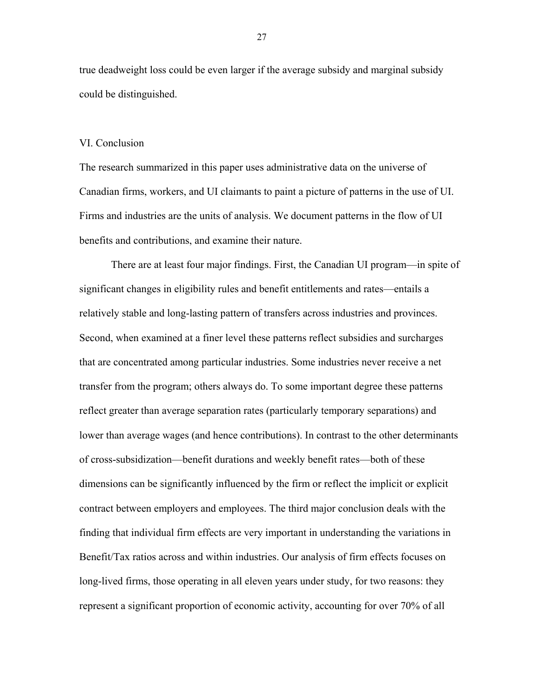true deadweight loss could be even larger if the average subsidy and marginal subsidy could be distinguished.

#### VI. Conclusion

The research summarized in this paper uses administrative data on the universe of Canadian firms, workers, and UI claimants to paint a picture of patterns in the use of UI. Firms and industries are the units of analysis. We document patterns in the flow of UI benefits and contributions, and examine their nature.

There are at least four major findings. First, the Canadian UI program—in spite of significant changes in eligibility rules and benefit entitlements and rates—entails a relatively stable and long-lasting pattern of transfers across industries and provinces. Second, when examined at a finer level these patterns reflect subsidies and surcharges that are concentrated among particular industries. Some industries never receive a net transfer from the program; others always do. To some important degree these patterns reflect greater than average separation rates (particularly temporary separations) and lower than average wages (and hence contributions). In contrast to the other determinants of cross-subsidization—benefit durations and weekly benefit rates—both of these dimensions can be significantly influenced by the firm or reflect the implicit or explicit contract between employers and employees. The third major conclusion deals with the finding that individual firm effects are very important in understanding the variations in Benefit/Tax ratios across and within industries. Our analysis of firm effects focuses on long-lived firms, those operating in all eleven years under study, for two reasons: they represent a significant proportion of economic activity, accounting for over 70% of all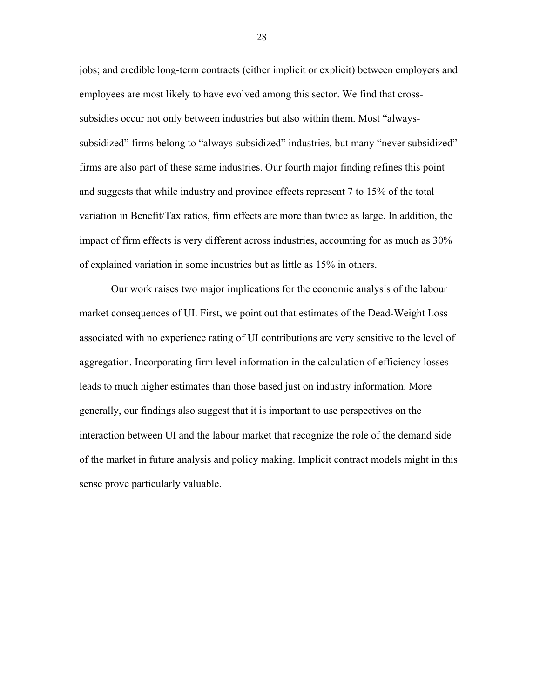jobs; and credible long-term contracts (either implicit or explicit) between employers and employees are most likely to have evolved among this sector. We find that crosssubsidies occur not only between industries but also within them. Most "alwayssubsidized" firms belong to "always-subsidized" industries, but many "never subsidized" firms are also part of these same industries. Our fourth major finding refines this point and suggests that while industry and province effects represent 7 to 15% of the total variation in Benefit/Tax ratios, firm effects are more than twice as large. In addition, the impact of firm effects is very different across industries, accounting for as much as 30% of explained variation in some industries but as little as 15% in others.

Our work raises two major implications for the economic analysis of the labour market consequences of UI. First, we point out that estimates of the Dead-Weight Loss associated with no experience rating of UI contributions are very sensitive to the level of aggregation. Incorporating firm level information in the calculation of efficiency losses leads to much higher estimates than those based just on industry information. More generally, our findings also suggest that it is important to use perspectives on the interaction between UI and the labour market that recognize the role of the demand side of the market in future analysis and policy making. Implicit contract models might in this sense prove particularly valuable.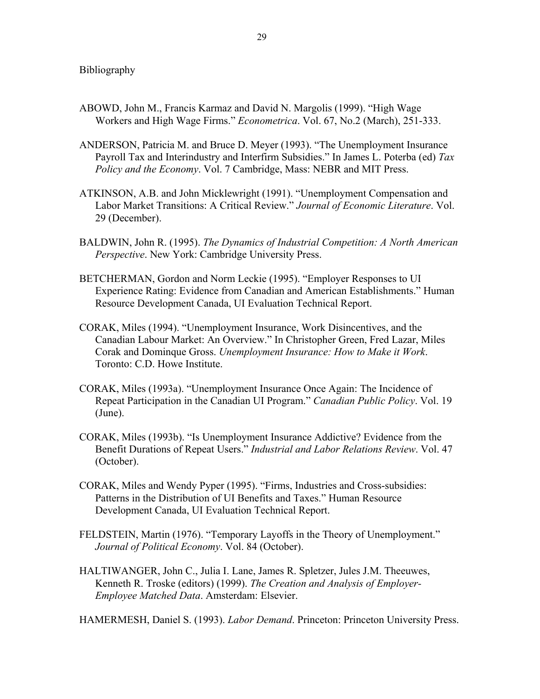- ABOWD, John M., Francis Karmaz and David N. Margolis (1999). "High Wage Workers and High Wage Firms." *Econometrica*. Vol. 67, No.2 (March), 251-333.
- ANDERSON, Patricia M. and Bruce D. Meyer (1993). "The Unemployment Insurance Payroll Tax and Interindustry and Interfirm Subsidies." In James L. Poterba (ed) *Tax Policy and the Economy*. Vol. 7 Cambridge, Mass: NEBR and MIT Press.
- ATKINSON, A.B. and John Micklewright (1991). "Unemployment Compensation and Labor Market Transitions: A Critical Review." *Journal of Economic Literature*. Vol. 29 (December).
- BALDWIN, John R. (1995). *The Dynamics of Industrial Competition: A North American Perspective*. New York: Cambridge University Press.
- BETCHERMAN, Gordon and Norm Leckie (1995). "Employer Responses to UI Experience Rating: Evidence from Canadian and American Establishments." Human Resource Development Canada, UI Evaluation Technical Report.
- CORAK, Miles (1994). "Unemployment Insurance, Work Disincentives, and the Canadian Labour Market: An Overview." In Christopher Green, Fred Lazar, Miles Corak and Dominque Gross. *Unemployment Insurance: How to Make it Work*. Toronto: C.D. Howe Institute.
- CORAK, Miles (1993a). "Unemployment Insurance Once Again: The Incidence of Repeat Participation in the Canadian UI Program." *Canadian Public Policy*. Vol. 19 (June).
- CORAK, Miles (1993b). "Is Unemployment Insurance Addictive? Evidence from the Benefit Durations of Repeat Users." *Industrial and Labor Relations Review*. Vol. 47 (October).
- CORAK, Miles and Wendy Pyper (1995). "Firms, Industries and Cross-subsidies: Patterns in the Distribution of UI Benefits and Taxes." Human Resource Development Canada, UI Evaluation Technical Report.
- FELDSTEIN, Martin (1976). "Temporary Layoffs in the Theory of Unemployment." *Journal of Political Economy*. Vol. 84 (October).
- HALTIWANGER, John C., Julia I. Lane, James R. Spletzer, Jules J.M. Theeuwes, Kenneth R. Troske (editors) (1999). *The Creation and Analysis of Employer-Employee Matched Data*. Amsterdam: Elsevier.

HAMERMESH, Daniel S. (1993). *Labor Demand*. Princeton: Princeton University Press.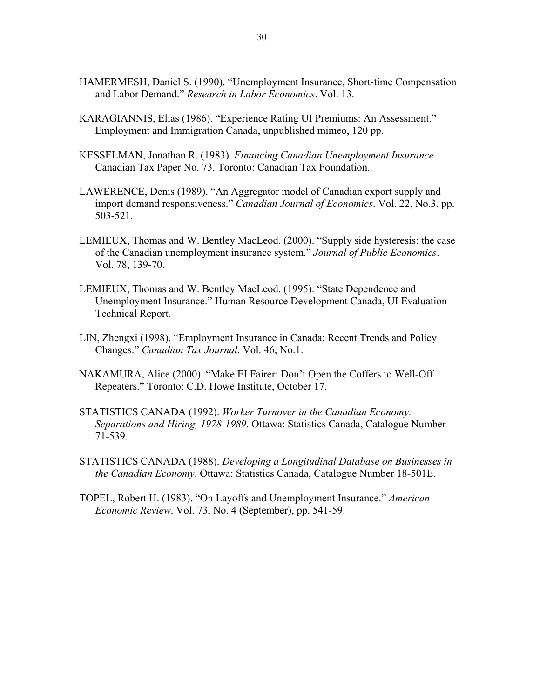- HAMERMESH, Daniel S. (1990). "Unemployment Insurance, Short-time Compensation and Labor Demand." *Research in Labor Economics*. Vol. 13.
- KARAGIANNIS, Elias (1986). "Experience Rating UI Premiums: An Assessment." Employment and Immigration Canada, unpublished mimeo, 120 pp.
- KESSELMAN, Jonathan R. (1983). *Financing Canadian Unemployment Insurance*. Canadian Tax Paper No. 73. Toronto: Canadian Tax Foundation.
- LAWERENCE, Denis (1989). "An Aggregator model of Canadian export supply and import demand responsiveness." *Canadian Journal of Economics*. Vol. 22, No.3. pp. 503-521.
- LEMIEUX, Thomas and W. Bentley MacLeod. (2000). "Supply side hysteresis: the case of the Canadian unemployment insurance system." *Journal of Public Economics*. Vol. 78, 139-70.
- LEMIEUX, Thomas and W. Bentley MacLeod. (1995). "State Dependence and Unemployment Insurance." Human Resource Development Canada, UI Evaluation Technical Report.
- LIN, Zhengxi (1998). "Employment Insurance in Canada: Recent Trends and Policy Changes." *Canadian Tax Journal*. Vol. 46, No.1.
- NAKAMURA, Alice (2000). "Make EI Fairer: Don't Open the Coffers to Well-Off Repeaters." Toronto: C.D. Howe Institute, October 17.
- STATISTICS CANADA (1992). *Worker Turnover in the Canadian Economy: Separations and Hiring, 1978-1989*. Ottawa: Statistics Canada, Catalogue Number 71-539.
- STATISTICS CANADA (1988). *Developing a Longitudinal Database on Businesses in the Canadian Economy*. Ottawa: Statistics Canada, Catalogue Number 18-501E.
- TOPEL, Robert H. (1983). "On Layoffs and Unemployment Insurance." *American Economic Review*. Vol. 73, No. 4 (September), pp. 541-59.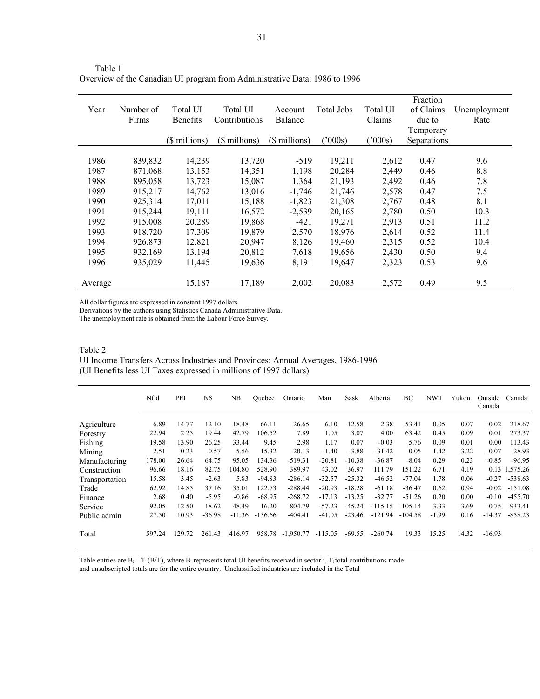| Year    | Number of<br>Firms | Total UI<br><b>Benefits</b> | Total UI<br>Contributions | Account<br>Balance | Total Jobs | Total UI<br>Claims | Fraction<br>of Claims<br>due to | Unemployment<br>Rate |
|---------|--------------------|-----------------------------|---------------------------|--------------------|------------|--------------------|---------------------------------|----------------------|
|         |                    |                             |                           |                    |            |                    | Temporary                       |                      |
|         |                    | (\$ millions)               | (\$ millions)             | (\$ millions)      | 000s       | (2000s)            | Separations                     |                      |
|         |                    |                             |                           |                    |            |                    |                                 |                      |
| 1986    | 839,832            | 14,239                      | 13,720                    | $-519$             | 19,211     | 2,612              | 0.47                            | 9.6                  |
| 1987    | 871,068            | 13,153                      | 14,351                    | 1,198              | 20,284     | 2,449              | 0.46                            | 8.8                  |
| 1988    | 895,058            | 13,723                      | 15,087                    | 1,364              | 21,193     | 2,492              | 0.46                            | 7.8                  |
| 1989    | 915,217            | 14,762                      | 13,016                    | $-1,746$           | 21,746     | 2,578              | 0.47                            | 7.5                  |
| 1990    | 925,314            | 17,011                      | 15,188                    | $-1,823$           | 21,308     | 2,767              | 0.48                            | 8.1                  |
| 1991    | 915,244            | 19,111                      | 16,572                    | $-2,539$           | 20,165     | 2,780              | 0.50                            | 10.3                 |
| 1992    | 915,008            | 20,289                      | 19,868                    | $-421$             | 19,271     | 2,913              | 0.51                            | 11.2                 |
| 1993    | 918,720            | 17,309                      | 19,879                    | 2,570              | 18,976     | 2,614              | 0.52                            | 11.4                 |
| 1994    | 926,873            | 12,821                      | 20,947                    | 8,126              | 19,460     | 2,315              | 0.52                            | 10.4                 |
| 1995    | 932,169            | 13,194                      | 20,812                    | 7,618              | 19,656     | 2,430              | 0.50                            | 9.4                  |
| 1996    | 935,029            | 11,445                      | 19,636                    | 8,191              | 19,647     | 2,323              | 0.53                            | 9.6                  |
|         |                    |                             |                           |                    |            |                    |                                 |                      |
| Average |                    | 15,187                      | 17,189                    | 2,002              | 20,083     | 2,572              | 0.49                            | 9.5                  |

Table 1 Overview of the Canadian UI program from Administrative Data: 1986 to 1996

All dollar figures are expressed in constant 1997 dollars.

Derivations by the authors using Statistics Canada Administrative Data.

The unemployment rate is obtained from the Labour Force Survey.

Table 2 UI Income Transfers Across Industries and Provinces: Annual Averages, 1986-1996 (UI Benefits less UI Taxes expressed in millions of 1997 dollars)

|                | Nfld   | PEI    | <b>NS</b> | NB.      | Quebec    | Ontario     | Man       | Sask     | Alberta   | BС        | <b>NWT</b> | Yukon | Outside<br>Canada | Canada        |
|----------------|--------|--------|-----------|----------|-----------|-------------|-----------|----------|-----------|-----------|------------|-------|-------------------|---------------|
| Agriculture    | 6.89   | 14.77  | 12.10     | 18.48    | 66.11     | 26.65       | 6.10      | 12.58    | 2.38      | 53.41     | 0.05       | 0.07  | $-0.02$           | 218.67        |
| Forestry       | 22.94  | 2.25   | 19.44     | 42.79    | 106.52    | 7.89        | 1.05      | 3.07     | 4.00      | 63.42     | 0.45       | 0.09  | 0.01              | 273.37        |
| Fishing        | 19.58  | 13.90  | 26.25     | 33.44    | 9.45      | 2.98        | 1.17      | 0.07     | $-0.03$   | 5.76      | 0.09       | 0.01  | 0.00              | 113.43        |
| Mining         | 2.51   | 0.23   | $-0.57$   | 5.56     | 15.32     | $-20.13$    | $-1.40$   | $-3.88$  | $-31.42$  | 0.05      | 1.42       | 3.22  | $-0.07$           | $-28.93$      |
| Manufacturing  | 178.00 | 26.64  | 64.75     | 95.05    | 134.36    | $-519.31$   | $-20.81$  | $-10.38$ | $-36.87$  | $-8.04$   | 0.29       | 0.23  | $-0.85$           | $-96.95$      |
| Construction   | 96.66  | 18.16  | 82.75     | 104.80   | 528.90    | 389.97      | 43.02     | 36.97    | 111.79    | 151.22    | 6.71       | 4.19  |                   | 0.13 1,575.26 |
| Transportation | 15.58  | 3.45   | $-2.63$   | 5.83     | $-94.83$  | $-286.14$   | $-32.57$  | $-25.32$ | $-46.52$  | $-77.04$  | 1.78       | 0.06  | $-0.27$           | $-538.63$     |
| Trade          | 62.92  | 14.85  | 37.16     | 35.01    | 122.73    | $-288.44$   | $-20.93$  | $-18.28$ | $-61.18$  | $-36.47$  | 0.62       | 0.94  | $-0.02$           | $-151.08$     |
| Finance        | 2.68   | 0.40   | $-5.95$   | $-0.86$  | $-68.95$  | $-268.72$   | $-17.13$  | $-13.25$ | $-32.77$  | $-51.26$  | 0.20       | 0.00  | $-0.10$           | $-455.70$     |
| Service        | 92.05  | 12.50  | 18.62     | 48.49    | 16.20     | $-804.79$   | $-57.23$  | $-45.24$ | $-115.15$ | $-105.14$ | 3.33       | 3.69  | $-0.75$           | $-933.41$     |
| Public admin   | 27.50  | 10.93  | $-36.98$  | $-11.36$ | $-136.66$ | $-404.41$   | $-41.05$  | $-23.46$ | $-121.94$ | $-104.58$ | $-1.99$    | 0.16  | $-14.37$          | $-858.23$     |
| Total          | 597.24 | 129.72 | 261.43    | 416.97   | 958.78    | $-1,950.77$ | $-115.05$ | $-69.55$ | $-260.74$ | 19.33     | 15.25      | 14.32 | $-16.93$          |               |

Table entries are  $B_i - T_i (B/T)$ , where  $B_i$  represents total UI benefits received in sector i,  $T_i$  total contributions made and unsubscripted totals are for the entire country. Unclassified industries are included in the Total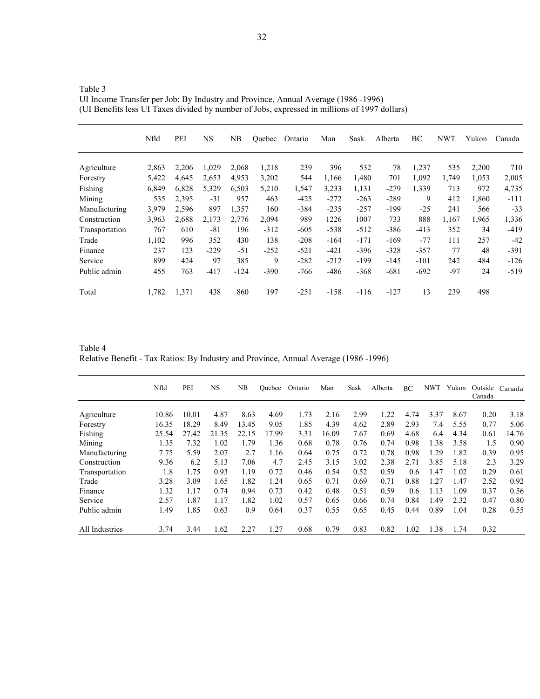|                | Nfld  | PEI   | <b>NS</b> | NB     | <b>Ouebec</b> | Ontario | Man    | Sask.  | Alberta | ВC     | <b>NWT</b> | Yukon | Canada |
|----------------|-------|-------|-----------|--------|---------------|---------|--------|--------|---------|--------|------------|-------|--------|
| Agriculture    | 2,863 | 2,206 | 1,029     | 2,068  | 1,218         | 239     | 396    | 532    | 78      | 1,237  | 535        | 2,200 | 710    |
| Forestry       | 5,422 | 4,645 | 2,653     | 4,953  | 3,202         | 544     | 1,166  | 1,480  | 701     | 1,092  | 1,749      | 1,053 | 2,005  |
| Fishing        | 6,849 | 6,828 | 5,329     | 6,503  | 5,210         | 1,547   | 3,233  | 1,131  | $-279$  | 1,339  | 713        | 972   | 4,735  |
| Mining         | 535   | 2,395 | $-31$     | 957    | 463           | $-425$  | $-272$ | $-263$ | $-289$  | 9      | 412        | 1,860 | $-111$ |
| Manufacturing  | 3,979 | 2.596 | 897       | 1,357  | 160           | $-384$  | $-235$ | $-257$ | $-199$  | $-25$  | 241        | 566   | $-33$  |
| Construction   | 3,963 | 2,688 | 2,173     | 2,776  | 2,094         | 989     | 1226   | 1007   | 733     | 888    | 1,167      | 1,965 | 1,336  |
| Transportation | 767   | 610   | $-81$     | 196    | $-312$        | $-605$  | $-538$ | $-512$ | $-386$  | $-413$ | 352        | 34    | $-419$ |
| Trade          | 1,102 | 996   | 352       | 430    | 138           | $-208$  | $-164$ | $-171$ | $-169$  | $-77$  | 111        | 257   | $-42$  |
| Finance        | 237   | 123   | $-229$    | $-51$  | $-252$        | $-521$  | $-421$ | $-396$ | $-328$  | $-357$ | 77         | 48    | $-391$ |
| Service        | 899   | 424   | 97        | 385    | 9             | $-282$  | $-212$ | $-199$ | $-145$  | $-101$ | 242        | 484   | $-126$ |
| Public admin   | 455   | 763   | $-417$    | $-124$ | $-390$        | $-766$  | $-486$ | $-368$ | $-681$  | $-692$ | $-97$      | 24    | $-519$ |
| Total          | 1,782 | 1,371 | 438       | 860    | 197           | $-251$  | $-158$ | $-116$ | $-127$  | 13     | 239        | 498   |        |

Table 3 UI Income Transfer per Job: By Industry and Province, Annual Average (1986 -1996) (UI Benefits less UI Taxes divided by number of Jobs, expressed in millions of 1997 dollars)

Table 4 Relative Benefit - Tax Ratios: By Industry and Province, Annual Average (1986 -1996)

|                | Nfld  | PEI   | <b>NS</b> | NB    | Ouebec | Ontario | Man   | Sask | Alberta | BC.  | NWT  | Yukon | Outside Canada<br>Canada |       |
|----------------|-------|-------|-----------|-------|--------|---------|-------|------|---------|------|------|-------|--------------------------|-------|
|                |       |       |           |       |        |         |       |      |         |      |      |       |                          |       |
| Agriculture    | 10.86 | 10.01 | 4.87      | 8.63  | 4.69   | 1.73    | 2.16  | 2.99 | 1.22    | 4.74 | 3.37 | 8.67  | 0.20                     | 3.18  |
| Forestry       | 16.35 | 18.29 | 8.49      | 13.45 | 9.05   | 1.85    | 4.39  | 4.62 | 2.89    | 2.93 | 7.4  | 5.55  | 0.77                     | 5.06  |
| Fishing        | 25.54 | 27.42 | 21.35     | 22.15 | 17.99  | 3.31    | 16.09 | 7.67 | 0.69    | 4.68 | 6.4  | 4.34  | 0.61                     | 14.76 |
| Mining         | 1.35  | 7.32  | 1.02      | 1.79  | 1.36   | 0.68    | 0.78  | 0.76 | 0.74    | 0.98 | 1.38 | 3.58  | 1.5                      | 0.90  |
| Manufacturing  | 7.75  | 5.59  | 2.07      | 2.7   | 1.16   | 0.64    | 0.75  | 0.72 | 0.78    | 0.98 | 1.29 | 1.82  | 0.39                     | 0.95  |
| Construction   | 9.36  | 6.2   | 5.13      | 7.06  | 4.7    | 2.45    | 3.15  | 3.02 | 2.38    | 2.71 | 3.85 | 5.18  | 2.3                      | 3.29  |
| Transportation | 1.8   | 1.75  | 0.93      | 1.19  | 0.72   | 0.46    | 0.54  | 0.52 | 0.59    | 0.6  | 1.47 | 1.02  | 0.29                     | 0.61  |
| Trade          | 3.28  | 3.09  | 1.65      | 1.82  | 1.24   | 0.65    | 0.71  | 0.69 | 0.71    | 0.88 | 1.27 | 1.47  | 2.52                     | 0.92  |
| Finance        | 1.32  | 1.17  | 0.74      | 0.94  | 0.73   | 0.42    | 0.48  | 0.51 | 0.59    | 0.6  | 1.13 | 1.09  | 0.37                     | 0.56  |
| Service        | 2.57  | 1.87  | 1.17      | 1.82  | 1.02   | 0.57    | 0.65  | 0.66 | 0.74    | 0.84 | 1.49 | 2.32  | 0.47                     | 0.80  |
| Public admin   | 1.49  | 1.85  | 0.63      | 0.9   | 0.64   | 0.37    | 0.55  | 0.65 | 0.45    | 0.44 | 0.89 | 1.04  | 0.28                     | 0.55  |
| All Industries | 3.74  | 3.44  | 1.62      | 2.27  | 1.27   | 0.68    | 0.79  | 0.83 | 0.82    | 1.02 | 1.38 | 1.74  | 0.32                     |       |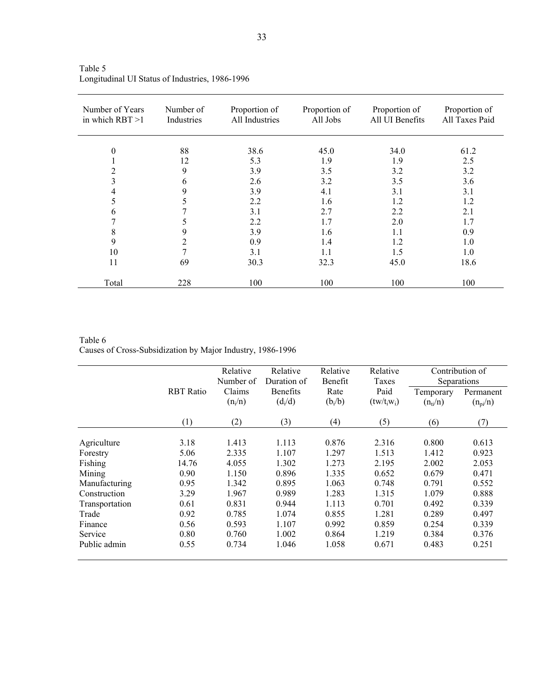| Number of Years<br>in which $RBT > 1$ | Number of<br>Industries | Proportion of<br>All Industries | Proportion of<br>All Jobs | Proportion of<br>All UI Benefits | Proportion of<br>All Taxes Paid |
|---------------------------------------|-------------------------|---------------------------------|---------------------------|----------------------------------|---------------------------------|
| 0                                     | 88                      | 38.6                            | 45.0                      | 34.0                             | 61.2                            |
|                                       | 12                      | 5.3                             | 1.9                       | 1.9                              | 2.5                             |
| 2                                     | 9                       | 3.9                             | 3.5                       | 3.2                              | 3.2                             |
| 3                                     | 6                       | 2.6                             | 3.2                       | 3.5                              | 3.6                             |
| 4                                     | 9                       | 3.9                             | 4.1                       | 3.1                              | 3.1                             |
| 5                                     | 5                       | 2.2                             | 1.6                       | 1.2                              | 1.2                             |
| 6                                     | 7                       | 3.1                             | 2.7                       | 2.2                              | 2.1                             |
|                                       | 5                       | 2.2                             | 1.7                       | 2.0                              | 1.7                             |
| 8                                     | 9                       | 3.9                             | 1.6                       | 1.1                              | 0.9                             |
| 9                                     | 2                       | 0.9                             | 1.4                       | 1.2                              | 1.0                             |
| 10                                    | 7                       | 3.1                             | 1.1                       | 1.5                              | 1.0                             |
| 11                                    | 69                      | 30.3                            | 32.3                      | 45.0                             | 18.6                            |
| Total                                 | 228                     | 100                             | 100                       | 100                              | 100                             |

Table 5 Longitudinal UI Status of Industries, 1986-1996

Table 6 Causes of Cross-Subsidization by Major Industry, 1986-1996

|                |                  | Relative<br>Number of | Relative<br>Duration of | Relative<br>Benefit | Relative<br>Taxes     |                           | Contribution of<br>Separations |
|----------------|------------------|-----------------------|-------------------------|---------------------|-----------------------|---------------------------|--------------------------------|
|                | <b>RBT</b> Ratio | Claims<br>$(n_i/n)$   | Benefits<br>$(d_i/d)$   | Rate<br>$(b_i/b)$   | Paid<br>$(tw/t_iw_i)$ | Temporary<br>$(n_{ti}/n)$ | Permanent<br>$(n_{pi}/n)$      |
|                | (1)              | (2)                   | (3)                     | (4)                 | (5)                   | (6)                       | (7)                            |
| Agriculture    | 3.18             | 1.413                 | 1.113                   | 0.876               | 2.316                 | 0.800                     | 0.613                          |
| Forestry       | 5.06             | 2.335                 | 1.107                   | 1.297               | 1.513                 | 1.412                     | 0.923                          |
| Fishing        | 14.76            | 4.055                 | 1.302                   | 1.273               | 2.195                 | 2.002                     | 2.053                          |
| Mining         | 0.90             | 1.150                 | 0.896                   | 1.335               | 0.652                 | 0.679                     | 0.471                          |
| Manufacturing  | 0.95             | 1.342                 | 0.895                   | 1.063               | 0.748                 | 0.791                     | 0.552                          |
| Construction   | 3.29             | 1.967                 | 0.989                   | 1.283               | 1.315                 | 1.079                     | 0.888                          |
| Transportation | 0.61             | 0.831                 | 0.944                   | 1.113               | 0.701                 | 0.492                     | 0.339                          |
| Trade          | 0.92             | 0.785                 | 1.074                   | 0.855               | 1.281                 | 0.289                     | 0.497                          |
| Finance        | 0.56             | 0.593                 | 1.107                   | 0.992               | 0.859                 | 0.254                     | 0.339                          |
| Service        | 0.80             | 0.760                 | 1.002                   | 0.864               | 1.219                 | 0.384                     | 0.376                          |
| Public admin   | 0.55             | 0.734                 | 1.046                   | 1.058               | 0.671                 | 0.483                     | 0.251                          |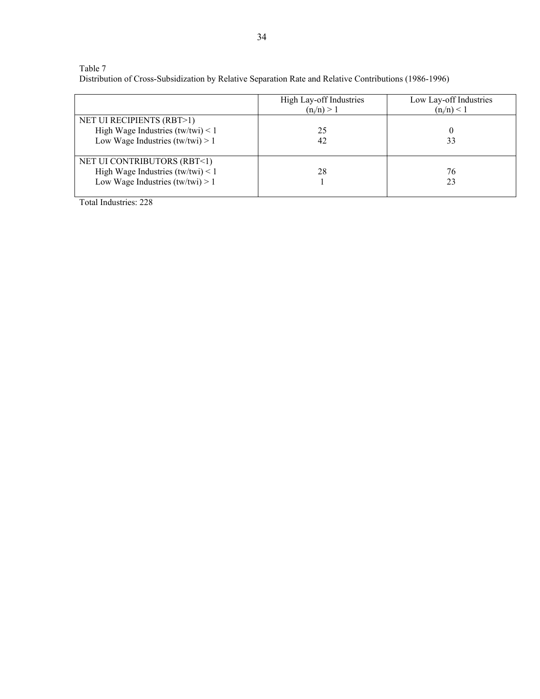## Table 7

Distribution of Cross-Subsidization by Relative Separation Rate and Relative Contributions (1986-1996)

|                                     | High Lay-off Industries<br>$(n_i/n) > 1$ | Low Lay-off Industries<br>$(n_i/n) < 1$ |
|-------------------------------------|------------------------------------------|-----------------------------------------|
| NET UI RECIPIENTS (RBT>1)           |                                          |                                         |
| High Wage Industries $(tw/twi) < 1$ | 25                                       |                                         |
| Low Wage Industries $(tw/twi) > 1$  | 42                                       | 33                                      |
| NET UI CONTRIBUTORS (RBT<1)         |                                          |                                         |
| High Wage Industries $(tw/twi) < 1$ | 28                                       | 76                                      |
| Low Wage Industries $(tw/twi) > 1$  |                                          | 23                                      |

Total Industries: 228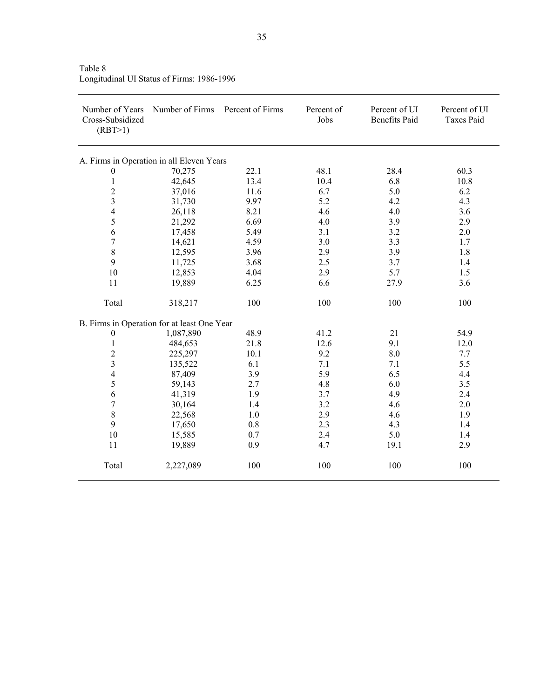| Number of Years<br>Cross-Subsidized<br>(RBT>1) | Number of Firms                             | Percent of Firms | Percent of<br>Jobs | Percent of UI<br><b>Benefits Paid</b> | Percent of UI<br><b>Taxes Paid</b> |
|------------------------------------------------|---------------------------------------------|------------------|--------------------|---------------------------------------|------------------------------------|
|                                                | A. Firms in Operation in all Eleven Years   |                  |                    |                                       |                                    |
| $\boldsymbol{0}$                               | 70,275                                      | 22.1             | 48.1               | 28.4                                  | 60.3                               |
| $\mathbf{1}$                                   | 42,645                                      | 13.4             | 10.4               | 6.8                                   | 10.8                               |
| $\overline{c}$                                 | 37,016                                      | 11.6             | 6.7                | 5.0                                   | 6.2                                |
| $\overline{\mathbf{3}}$                        | 31,730                                      | 9.97             | 5.2                | 4.2                                   | 4.3                                |
| $\overline{4}$                                 | 26,118                                      | 8.21             | 4.6                | 4.0                                   | 3.6                                |
| 5                                              | 21,292                                      | 6.69             | 4.0                | 3.9                                   | 2.9                                |
| 6                                              | 17,458                                      | 5.49             | 3.1                | 3.2                                   | 2.0                                |
| $\overline{7}$                                 | 14,621                                      | 4.59             | 3.0                | 3.3                                   | 1.7                                |
| $\,8\,$                                        | 12,595                                      | 3.96             | 2.9                | 3.9                                   | 1.8                                |
| 9                                              | 11,725                                      | 3.68             | 2.5                | 3.7                                   | 1.4                                |
| 10                                             | 12,853                                      | 4.04             | 2.9                | 5.7                                   | 1.5                                |
| 11                                             | 19,889                                      | 6.25             | 6.6                | 27.9                                  | 3.6                                |
| Total                                          | 318,217                                     | 100              | 100                | 100                                   | 100                                |
|                                                | B. Firms in Operation for at least One Year |                  |                    |                                       |                                    |
| $\boldsymbol{0}$                               | 1,087,890                                   | 48.9             | 41.2               | 21                                    | 54.9                               |
| $\mathbf{1}$                                   | 484,653                                     | 21.8             | 12.6               | 9.1                                   | 12.0                               |
| $\overline{c}$                                 | 225,297                                     | 10.1             | 9.2                | 8.0                                   | 7.7                                |
| $\overline{\mathbf{3}}$                        | 135,522                                     | 6.1              | 7.1                | 7.1                                   | 5.5                                |
| $\overline{\mathcal{L}}$                       | 87,409                                      | 3.9              | 5.9                | 6.5                                   | 4.4                                |
| 5                                              | 59,143                                      | 2.7              | 4.8                | 6.0                                   | 3.5                                |
| 6                                              | 41,319                                      | 1.9              | 3.7                | 4.9                                   | 2.4                                |
| $\overline{7}$                                 | 30,164                                      | 1.4              | 3.2                | 4.6                                   | 2.0                                |
| 8                                              | 22,568                                      | 1.0              | 2.9                | 4.6                                   | 1.9                                |
| 9                                              | 17,650                                      | 0.8              | 2.3                | 4.3                                   | 1.4                                |
| 10                                             | 15,585                                      | 0.7              | 2.4                | 5.0                                   | 1.4                                |
| 11                                             | 19,889                                      | 0.9              | 4.7                | 19.1                                  | 2.9                                |
| Total                                          | 2,227,089                                   | 100              | 100                | 100                                   | 100                                |

Table 8 Longitudinal UI Status of Firms: 1986-1996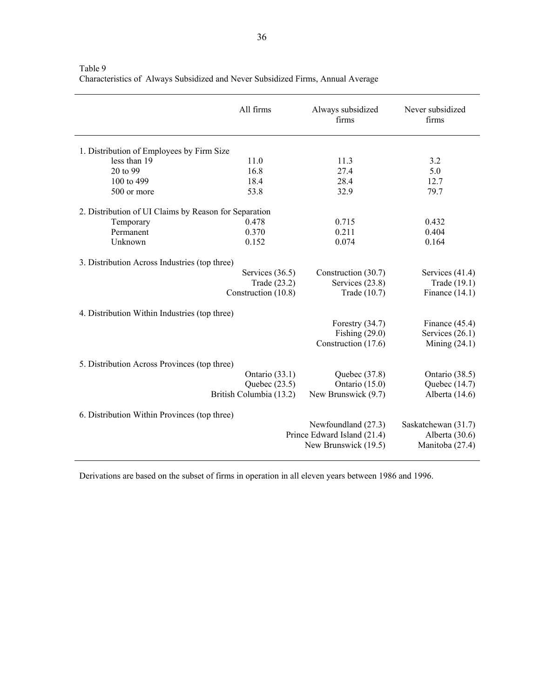|                                                       | All firms               | Always subsidized<br>firms  | Never subsidized<br>firms |
|-------------------------------------------------------|-------------------------|-----------------------------|---------------------------|
| 1. Distribution of Employees by Firm Size             |                         |                             |                           |
| less than 19                                          | 11.0                    | 11.3                        | 3.2                       |
| 20 to 99                                              | 16.8                    | 27.4                        | 5.0                       |
| 100 to 499                                            | 18.4                    | 28.4                        | 12.7                      |
| 500 or more                                           | 53.8                    | 32.9                        | 79.7                      |
| 2. Distribution of UI Claims by Reason for Separation |                         |                             |                           |
| Temporary                                             | 0.478                   | 0.715                       | 0.432                     |
| Permanent                                             | 0.370                   | 0.211                       | 0.404                     |
| Unknown                                               | 0.152                   | 0.074                       | 0.164                     |
| 3. Distribution Across Industries (top three)         |                         |                             |                           |
|                                                       | Services $(36.5)$       | Construction (30.7)         | Services $(41.4)$         |
|                                                       | Trade (23.2)            | Services (23.8)             | Trade (19.1)              |
|                                                       | Construction (10.8)     | Trade (10.7)                | Finance $(14.1)$          |
| 4. Distribution Within Industries (top three)         |                         |                             |                           |
|                                                       |                         | Forestry $(34.7)$           | Finance $(45.4)$          |
|                                                       |                         | Fishing $(29.0)$            | Services $(26.1)$         |
|                                                       |                         | Construction (17.6)         | Mining $(24.1)$           |
| 5. Distribution Across Provinces (top three)          |                         |                             |                           |
|                                                       | Ontario (33.1)          | Quebec $(37.8)$             | Ontario (38.5)            |
|                                                       | Quebec $(23.5)$         | Ontario (15.0)              | Quebec (14.7)             |
|                                                       | British Columbia (13.2) | New Brunswick (9.7)         | Alberta (14.6)            |
| 6. Distribution Within Provinces (top three)          |                         |                             |                           |
|                                                       |                         | Newfoundland (27.3)         | Saskatchewan (31.7)       |
|                                                       |                         | Prince Edward Island (21.4) | Alberta $(30.6)$          |
|                                                       |                         | New Brunswick (19.5)        | Manitoba (27.4)           |
|                                                       |                         |                             |                           |

Table 9 Characteristics of Always Subsidized and Never Subsidized Firms, Annual Average

l,

Derivations are based on the subset of firms in operation in all eleven years between 1986 and 1996.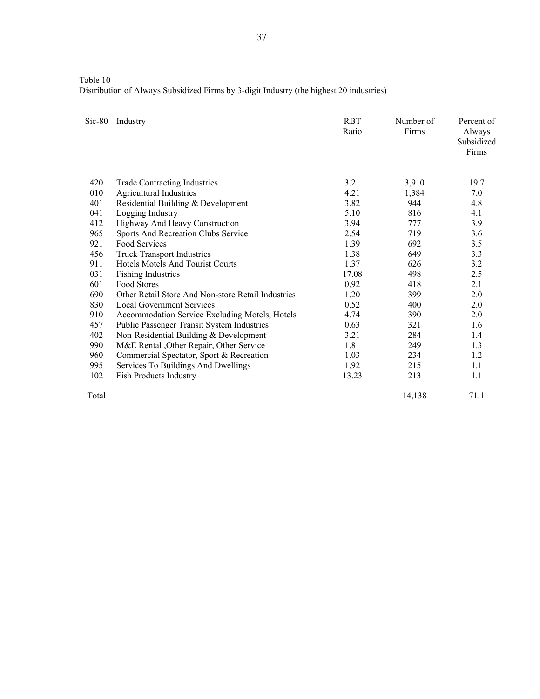| Table 10                                                                                |
|-----------------------------------------------------------------------------------------|
| Distribution of Always Subsidized Firms by 3-digit Industry (the highest 20 industries) |

| $Sic-80$ | Industry                                           | <b>RBT</b><br>Ratio | Number of<br>Firms | Percent of<br>Always<br>Subsidized<br>Firms |
|----------|----------------------------------------------------|---------------------|--------------------|---------------------------------------------|
| 420      | <b>Trade Contracting Industries</b>                | 3.21                | 3,910              | 19.7                                        |
| 010      | Agricultural Industries                            | 4.21                | 1,384              | 7.0                                         |
| 401      | Residential Building & Development                 | 3.82                | 944                | 4.8                                         |
| 041      | Logging Industry                                   | 5.10                | 816                | 4.1                                         |
| 412      | Highway And Heavy Construction                     | 3.94                | 777                | 3.9                                         |
| 965      | Sports And Recreation Clubs Service                | 2.54                | 719                | 3.6                                         |
| 921      | <b>Food Services</b>                               | 1.39                | 692                | 3.5                                         |
| 456      | <b>Truck Transport Industries</b>                  | 1.38                | 649                | 3.3                                         |
| 911      | <b>Hotels Motels And Tourist Courts</b>            | 1.37                | 626                | 3.2                                         |
| 031      | <b>Fishing Industries</b>                          | 17.08               | 498                | 2.5                                         |
| 601      | Food Stores                                        | 0.92                | 418                | 2.1                                         |
| 690      | Other Retail Store And Non-store Retail Industries | 1.20                | 399                | 2.0                                         |
| 830      | Local Government Services                          | 0.52                | 400                | 2.0                                         |
| 910      | Accommodation Service Excluding Motels, Hotels     | 4.74                | 390                | 2.0                                         |
| 457      | Public Passenger Transit System Industries         | 0.63                | 321                | 1.6                                         |
| 402      | Non-Residential Building & Development             | 3.21                | 284                | 1.4                                         |
| 990      | M&E Rental , Other Repair, Other Service           | 1.81                | 249                | 1.3                                         |
| 960      | Commercial Spectator, Sport & Recreation           | 1.03                | 234                | 1.2                                         |
| 995      | Services To Buildings And Dwellings                | 1.92                | 215                | 1.1                                         |
| 102      | <b>Fish Products Industry</b>                      | 13.23               | 213                | 1.1                                         |
| Total    |                                                    |                     | 14,138             | 71.1                                        |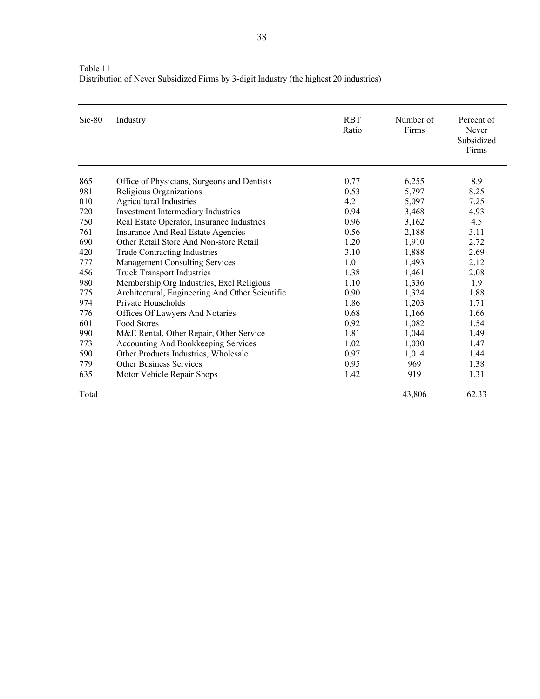| Table 11                                                                               |  |
|----------------------------------------------------------------------------------------|--|
| Distribution of Never Subsidized Firms by 3-digit Industry (the highest 20 industries) |  |

| $Sic-80$ | Industry                                        | <b>RBT</b><br>Ratio | Number of<br>Firms | Percent of<br>Never<br>Subsidized<br>Firms |
|----------|-------------------------------------------------|---------------------|--------------------|--------------------------------------------|
| 865      | Office of Physicians, Surgeons and Dentists     | 0.77                | 6,255              | 8.9                                        |
| 981      | Religious Organizations                         | 0.53                | 5,797              | 8.25                                       |
| 010      | Agricultural Industries                         | 4.21                | 5,097              | 7.25                                       |
| 720      | Investment Intermediary Industries              | 0.94                | 3,468              | 4.93                                       |
| 750      | Real Estate Operator, Insurance Industries      | 0.96                | 3,162              | 4.5                                        |
| 761      | Insurance And Real Estate Agencies              | 0.56                | 2,188              | 3.11                                       |
| 690      | Other Retail Store And Non-store Retail         | 1.20                | 1,910              | 2.72                                       |
| 420      | <b>Trade Contracting Industries</b>             | 3.10                | 1,888              | 2.69                                       |
| 777      | <b>Management Consulting Services</b>           | 1.01                | 1,493              | 2.12                                       |
| 456      | <b>Truck Transport Industries</b>               | 1.38                | 1,461              | 2.08                                       |
| 980      | Membership Org Industries, Excl Religious       | 1.10                | 1,336              | 1.9                                        |
| 775      | Architectural, Engineering And Other Scientific | 0.90                | 1,324              | 1.88                                       |
| 974      | Private Households                              | 1.86                | 1,203              | 1.71                                       |
| 776      | Offices Of Lawyers And Notaries                 | 0.68                | 1,166              | 1.66                                       |
| 601      | Food Stores                                     | 0.92                | 1,082              | 1.54                                       |
| 990      | M&E Rental, Other Repair, Other Service         | 1.81                | 1,044              | 1.49                                       |
| 773      | Accounting And Bookkeeping Services             | 1.02                | 1,030              | 1.47                                       |
| 590      | Other Products Industries, Wholesale            | 0.97                | 1,014              | 1.44                                       |
| 779      | <b>Other Business Services</b>                  | 0.95                | 969                | 1.38                                       |
| 635      | Motor Vehicle Repair Shops                      | 1.42                | 919                | 1.31                                       |
| Total    |                                                 |                     | 43,806             | 62.33                                      |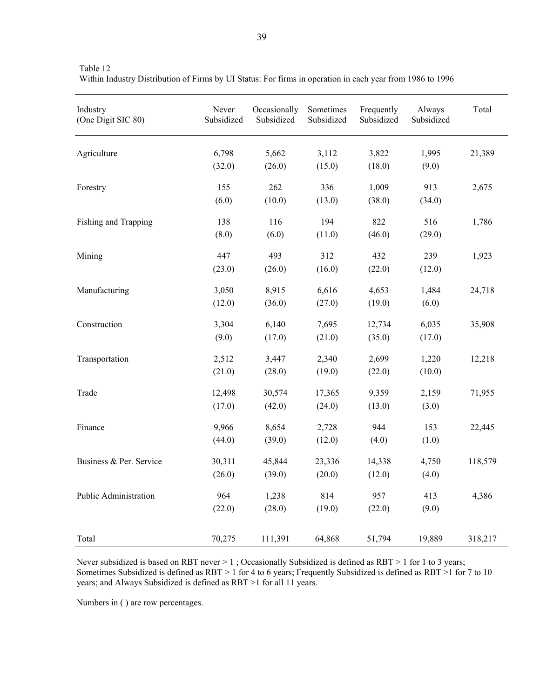| Industry<br>(One Digit SIC 80) | Never<br>Subsidized | Occasionally<br>Subsidized | Sometimes<br>Subsidized | Frequently<br>Subsidized | Always<br>Subsidized | Total   |
|--------------------------------|---------------------|----------------------------|-------------------------|--------------------------|----------------------|---------|
| Agriculture                    | 6,798               | 5,662                      | 3,112                   | 3,822                    | 1,995                | 21,389  |
|                                | (32.0)              | (26.0)                     | (15.0)                  | (18.0)                   | (9.0)                |         |
| Forestry                       | 155                 | 262                        | 336                     | 1,009                    | 913                  | 2,675   |
|                                | (6.0)               | (10.0)                     | (13.0)                  | (38.0)                   | (34.0)               |         |
| Fishing and Trapping           | 138                 | 116                        | 194                     | 822                      | 516                  | 1,786   |
|                                | (8.0)               | (6.0)                      | (11.0)                  | (46.0)                   | (29.0)               |         |
| Mining                         | 447                 | 493                        | 312                     | 432                      | 239                  | 1,923   |
|                                | (23.0)              | (26.0)                     | (16.0)                  | (22.0)                   | (12.0)               |         |
| Manufacturing                  | 3,050               | 8,915                      | 6,616                   | 4,653                    | 1,484                | 24,718  |
|                                | (12.0)              | (36.0)                     | (27.0)                  | (19.0)                   | (6.0)                |         |
| Construction                   | 3,304               | 6,140                      | 7,695                   | 12,734                   | 6,035                | 35,908  |
|                                | (9.0)               | (17.0)                     | (21.0)                  | (35.0)                   | (17.0)               |         |
| Transportation                 | 2,512               | 3,447                      | 2,340                   | 2,699                    | 1,220                | 12,218  |
|                                | (21.0)              | (28.0)                     | (19.0)                  | (22.0)                   | (10.0)               |         |
| Trade                          | 12,498              | 30,574                     | 17,365                  | 9,359                    | 2,159                | 71,955  |
|                                | (17.0)              | (42.0)                     | (24.0)                  | (13.0)                   | (3.0)                |         |
| Finance                        | 9,966               | 8,654                      | 2,728                   | 944                      | 153                  | 22,445  |
|                                | (44.0)              | (39.0)                     | (12.0)                  | (4.0)                    | (1.0)                |         |
| Business & Per. Service        | 30,311              | 45,844                     | 23,336                  | 14,338                   | 4,750                | 118,579 |
|                                | (26.0)              | (39.0)                     | (20.0)                  | (12.0)                   | (4.0)                |         |
| Public Administration          | 964                 | 1,238                      | 814                     | 957                      | 413                  | 4,386   |
|                                | (22.0)              | (28.0)                     | (19.0)                  | (22.0)                   | (9.0)                |         |
| Total                          | 70,275              | 111,391                    | 64,868                  | 51,794                   | 19,889               | 318,217 |

Table 12 Within Industry Distribution of Firms by UI Status: For firms in operation in each year from 1986 to 1996

Never subsidized is based on RBT never > 1 ; Occasionally Subsidized is defined as RBT > 1 for 1 to 3 years; Sometimes Subsidized is defined as RBT > 1 for 4 to 6 years; Frequently Subsidized is defined as RBT >1 for 7 to 10 years; and Always Subsidized is defined as RBT >1 for all 11 years.

Numbers in ( ) are row percentages.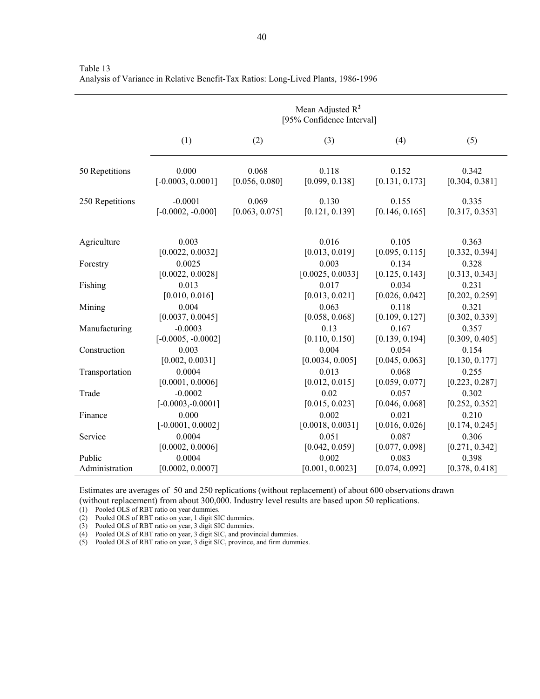|                          | Mean Adjusted $R^2$<br>[95% Confidence Interval] |                         |                           |                         |                         |  |  |  |  |
|--------------------------|--------------------------------------------------|-------------------------|---------------------------|-------------------------|-------------------------|--|--|--|--|
|                          | (1)                                              | (2)                     | (3)                       | (4)                     | (5)                     |  |  |  |  |
| 50 Repetitions           | 0.000<br>$[-0.0003, 0.0001]$                     | 0.068<br>[0.056, 0.080] | 0.118<br>[0.099, 0.138]   | 0.152<br>[0.131, 0.173] | 0.342<br>[0.304, 0.381] |  |  |  |  |
| 250 Repetitions          | $-0.0001$<br>$[-0.0002, -0.000]$                 | 0.069<br>[0.063, 0.075] | 0.130<br>[0.121, 0.139]   | 0.155<br>[0.146, 0.165] | 0.335<br>[0.317, 0.353] |  |  |  |  |
| Agriculture              | 0.003<br>[0.0022, 0.0032]                        |                         | 0.016<br>[0.013, 0.019]   | 0.105<br>[0.095, 0.115] | 0.363<br>[0.332, 0.394] |  |  |  |  |
| Forestry                 | 0.0025<br>[0.0022, 0.0028]                       |                         | 0.003<br>[0.0025, 0.0033] | 0.134<br>[0.125, 0.143] | 0.328<br>[0.313, 0.343] |  |  |  |  |
| Fishing                  | 0.013<br>[0.010, 0.016]                          |                         | 0.017<br>[0.013, 0.021]   | 0.034<br>[0.026, 0.042] | 0.231<br>[0.202, 0.259] |  |  |  |  |
| Mining                   | 0.004<br>[0.0037, 0.0045]                        |                         | 0.063<br>[0.058, 0.068]   | 0.118<br>[0.109, 0.127] | 0.321<br>[0.302, 0.339] |  |  |  |  |
| Manufacturing            | $-0.0003$<br>$[-0.0005, -0.0002]$                |                         | 0.13<br>[0.110, 0.150]    | 0.167<br>[0.139, 0.194] | 0.357<br>[0.309, 0.405] |  |  |  |  |
| Construction             | 0.003<br>[0.002, 0.0031]                         |                         | 0.004<br>[0.0034, 0.005]  | 0.054<br>[0.045, 0.063] | 0.154<br>[0.130, 0.177] |  |  |  |  |
| Transportation           | 0.0004<br>[0.0001, 0.0006]                       |                         | 0.013<br>[0.012, 0.015]   | 0.068<br>[0.059, 0.077] | 0.255<br>[0.223, 0.287] |  |  |  |  |
| Trade                    | $-0.0002$<br>$[-0.0003,-0.0001]$                 |                         | 0.02<br>[0.015, 0.023]    | 0.057<br>[0.046, 0.068] | 0.302<br>[0.252, 0.352] |  |  |  |  |
| Finance                  | 0.000<br>$[-0.0001, 0.0002]$                     |                         | 0.002<br>[0.0018, 0.0031] | 0.021<br>[0.016, 0.026] | 0.210<br>[0.174, 0.245] |  |  |  |  |
| Service                  | 0.0004<br>[0.0002, 0.0006]                       |                         | 0.051<br>[0.042, 0.059]   | 0.087<br>[0.077, 0.098] | 0.306<br>[0.271, 0.342] |  |  |  |  |
| Public<br>Administration | 0.0004<br>[0.0002, 0.0007]                       |                         | 0.002<br>[0.001, 0.0023]  | 0.083<br>[0.074, 0.092] | 0.398<br>[0.378, 0.418] |  |  |  |  |

Table 13 Analysis of Variance in Relative Benefit-Tax Ratios: Long-Lived Plants, 1986-1996

Estimates are averages of 50 and 250 replications (without replacement) of about 600 observations drawn (without replacement) from about 300,000. Industry level results are based upon 50 replications.

(1) Pooled OLS of RBT ratio on year dummies.

(2) Pooled OLS of RBT ratio on year, 1 digit SIC dummies.

(3) Pooled OLS of RBT ratio on year, 3 digit SIC dummies.

(4) Pooled OLS of RBT ratio on year, 3 digit SIC, and provincial dummies.

(5) Pooled OLS of RBT ratio on year, 3 digit SIC, province, and firm dummies.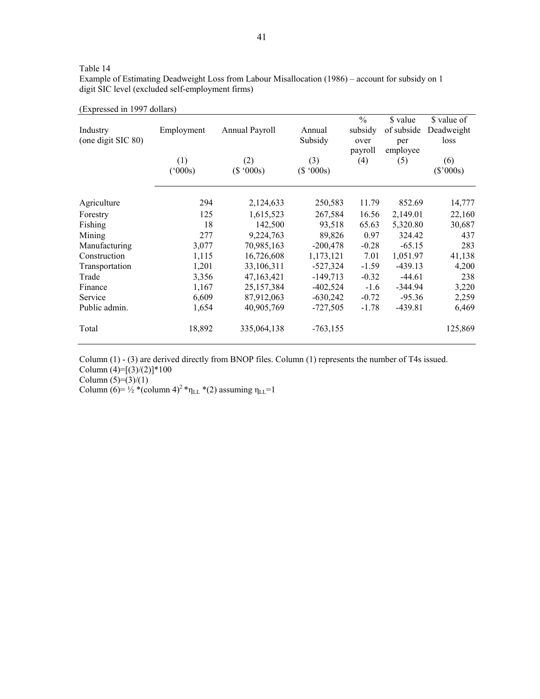|  | Table |  |  |  |
|--|-------|--|--|--|
|--|-------|--|--|--|

Example of Estimating Deadweight Loss from Labour Misallocation (1986) – account for subsidy on 1 digit SIC level (excluded self-employment firms)

| (Expressed in 1997 dollars) |  |  |  |  |  |
|-----------------------------|--|--|--|--|--|
|-----------------------------|--|--|--|--|--|

|                    |              |                |            | $\frac{0}{0}$ | \$ value   | \$ value of |
|--------------------|--------------|----------------|------------|---------------|------------|-------------|
| Industry           | Employment   | Annual Payroll | Annual     | subsidy       | of subside | Deadweight  |
| (one digit SIC 80) |              |                | Subsidy    | over          | per        | loss        |
|                    |              |                |            | payroll       | employee   |             |
|                    | (1)          | (2)            | (3)        | (4)           | (5)        | (6)         |
|                    | $(^{o}000s)$ | (\$'000s)      | (\$'000s)  |               |            | $(\$'000s)$ |
| Agriculture        | 294          | 2,124,633      | 250,583    | 11.79         | 852.69     | 14,777      |
| Forestry           | 125          | 1,615,523      | 267,584    | 16.56         | 2,149.01   | 22,160      |
| Fishing            | 18           | 142,500        | 93,518     | 65.63         | 5,320.80   | 30,687      |
| Mining             | 277          | 9,224,763      | 89,826     | 0.97          | 324.42     | 437         |
| Manufacturing      | 3,077        | 70,985,163     | $-200,478$ | $-0.28$       | $-65.15$   | 283         |
| Construction       | 1,115        | 16,726,608     | 1,173,121  | 7.01          | 1,051.97   | 41,138      |
| Transportation     | 1,201        | 33,106,311     | $-527,324$ | $-1.59$       | $-439.13$  | 4,200       |
| Trade              | 3,356        | 47,163,421     | $-149,713$ | $-0.32$       | $-44.61$   | 238         |
| Finance            | 1,167        | 25,157,384     | $-402,524$ | $-1.6$        | $-344.94$  | 3,220       |
| Service            | 6,609        | 87,912,063     | $-630,242$ | $-0.72$       | $-95.36$   | 2,259       |
| Public admin.      | 1,654        | 40,905,769     | $-727,505$ | $-1.78$       | $-439.81$  | 6,469       |
| Total              | 18,892       | 335,064,138    | $-763,155$ |               |            | 125,869     |

Column (1) - (3) are derived directly from BNOP files. Column (1) represents the number of T4s issued.

Column  $(4)=[(3)/(2)]*100$ 

Column  $(5)=(3)/(1)$ 

Column (6)=  $\frac{1}{2}$  \*(column 4)<sup>2</sup> \* $\eta_{LL}$  \*(2) assuming  $\eta_{LL}$ =1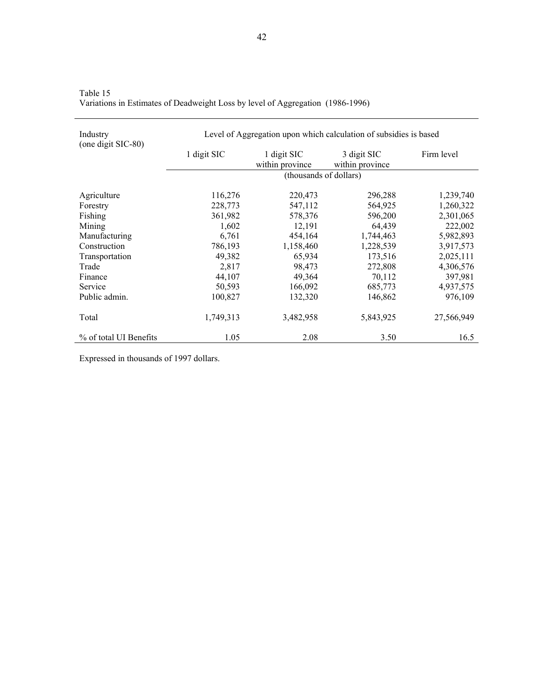| Industry               | Level of Aggregation upon which calculation of subsidies is based<br>(one digit SIC-80) |                                |                                |            |  |  |
|------------------------|-----------------------------------------------------------------------------------------|--------------------------------|--------------------------------|------------|--|--|
|                        | 1 digit SIC                                                                             | 1 digit SIC<br>within province | 3 digit SIC<br>within province | Firm level |  |  |
|                        |                                                                                         | (thousands of dollars)         |                                |            |  |  |
| Agriculture            | 116,276                                                                                 | 220,473                        | 296,288                        | 1,239,740  |  |  |
| Forestry               | 228,773                                                                                 | 547,112                        | 564,925                        | 1,260,322  |  |  |
| Fishing                | 361,982                                                                                 | 578,376                        | 596,200                        | 2,301,065  |  |  |
| Mining                 | 1,602                                                                                   | 12,191                         | 64,439                         | 222,002    |  |  |
| Manufacturing          | 6,761                                                                                   | 454,164                        | 1,744,463                      | 5,982,893  |  |  |
| Construction           | 786,193                                                                                 | 1,158,460                      | 1,228,539                      | 3,917,573  |  |  |
| Transportation         | 49,382                                                                                  | 65,934                         | 173,516                        | 2,025,111  |  |  |
| Trade                  | 2,817                                                                                   | 98,473                         | 272,808                        | 4,306,576  |  |  |
| Finance                | 44,107                                                                                  | 49,364                         | 70,112                         | 397,981    |  |  |
| Service                | 50,593                                                                                  | 166,092                        | 685,773                        | 4,937,575  |  |  |
| Public admin.          | 100,827                                                                                 | 132,320                        | 146,862                        | 976,109    |  |  |
| Total                  | 1,749,313                                                                               | 3,482,958                      | 5,843,925                      | 27,566,949 |  |  |
| % of total UI Benefits | 1.05                                                                                    | 2.08                           | 3.50                           | 16.5       |  |  |

Table 15 Variations in Estimates of Deadweight Loss by level of Aggregation (1986-1996)

Expressed in thousands of 1997 dollars.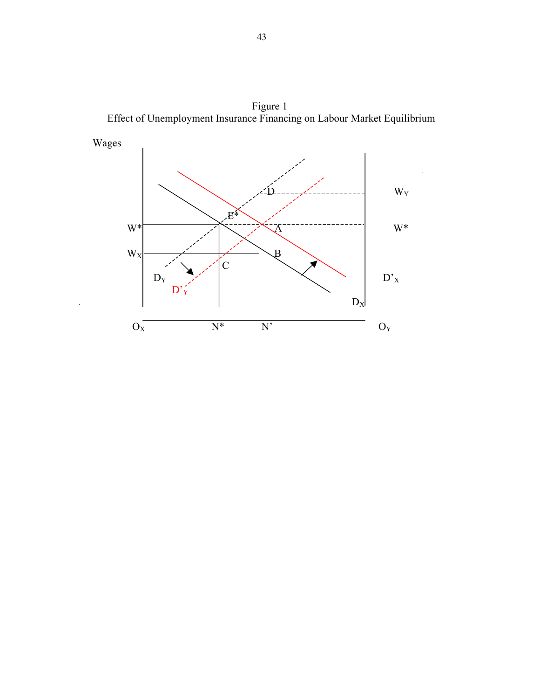

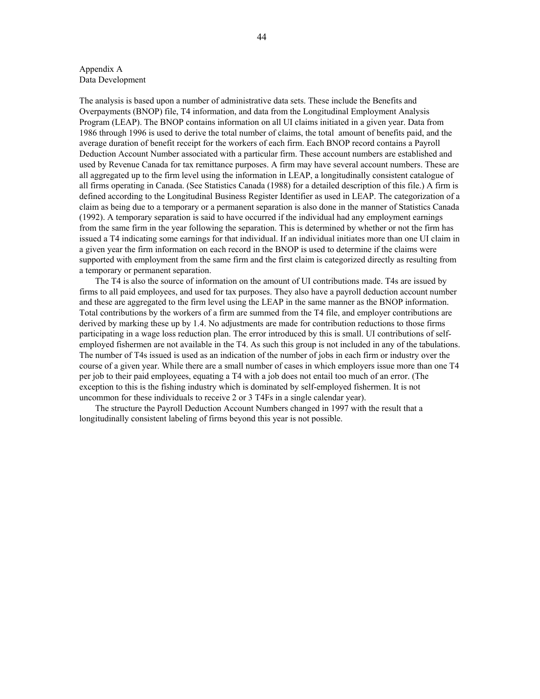#### Appendix A Data Development

The analysis is based upon a number of administrative data sets. These include the Benefits and Overpayments (BNOP) file, T4 information, and data from the Longitudinal Employment Analysis Program (LEAP). The BNOP contains information on all UI claims initiated in a given year. Data from 1986 through 1996 is used to derive the total number of claims, the total amount of benefits paid, and the average duration of benefit receipt for the workers of each firm. Each BNOP record contains a Payroll Deduction Account Number associated with a particular firm. These account numbers are established and used by Revenue Canada for tax remittance purposes. A firm may have several account numbers. These are all aggregated up to the firm level using the information in LEAP, a longitudinally consistent catalogue of all firms operating in Canada. (See Statistics Canada (1988) for a detailed description of this file.) A firm is defined according to the Longitudinal Business Register Identifier as used in LEAP. The categorization of a claim as being due to a temporary or a permanent separation is also done in the manner of Statistics Canada (1992). A temporary separation is said to have occurred if the individual had any employment earnings from the same firm in the year following the separation. This is determined by whether or not the firm has issued a T4 indicating some earnings for that individual. If an individual initiates more than one UI claim in a given year the firm information on each record in the BNOP is used to determine if the claims were supported with employment from the same firm and the first claim is categorized directly as resulting from a temporary or permanent separation.

The T4 is also the source of information on the amount of UI contributions made. T4s are issued by firms to all paid employees, and used for tax purposes. They also have a payroll deduction account number and these are aggregated to the firm level using the LEAP in the same manner as the BNOP information. Total contributions by the workers of a firm are summed from the T4 file, and employer contributions are derived by marking these up by 1.4. No adjustments are made for contribution reductions to those firms participating in a wage loss reduction plan. The error introduced by this is small. UI contributions of selfemployed fishermen are not available in the T4. As such this group is not included in any of the tabulations. The number of T4s issued is used as an indication of the number of jobs in each firm or industry over the course of a given year. While there are a small number of cases in which employers issue more than one T4 per job to their paid employees, equating a T4 with a job does not entail too much of an error. (The exception to this is the fishing industry which is dominated by self-employed fishermen. It is not uncommon for these individuals to receive 2 or 3 T4Fs in a single calendar year).

The structure the Payroll Deduction Account Numbers changed in 1997 with the result that a longitudinally consistent labeling of firms beyond this year is not possible.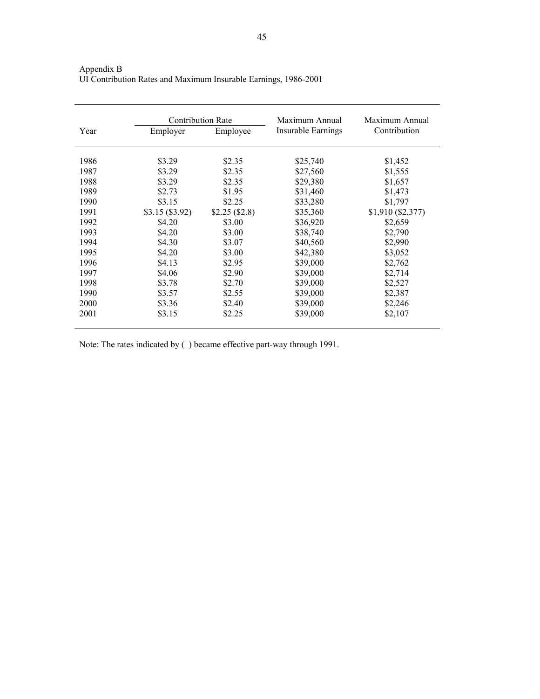Appendix B

|      | <b>Contribution Rate</b> |              | Maximum Annual            | Maximum Annual    |
|------|--------------------------|--------------|---------------------------|-------------------|
| Year | Employer                 | Employee     | <b>Insurable Earnings</b> | Contribution      |
|      |                          |              |                           |                   |
| 1986 | \$3.29                   | \$2.35       | \$25,740                  | \$1,452           |
| 1987 | \$3.29                   | \$2.35       | \$27,560                  | \$1,555           |
| 1988 | \$3.29                   | \$2.35       | \$29,380                  | \$1,657           |
| 1989 | \$2.73                   | \$1.95       | \$31,460                  | \$1,473           |
| 1990 | \$3.15                   | \$2.25       | \$33,280                  | \$1,797           |
| 1991 | \$3.15(\$3.92)           | \$2.25(S2.8) | \$35,360                  | \$1,910 (\$2,377) |
| 1992 | \$4.20                   | \$3.00       | \$36,920                  | \$2,659           |
| 1993 | \$4.20                   | \$3.00       | \$38,740                  | \$2,790           |
| 1994 | \$4.30                   | \$3.07       | \$40,560                  | \$2,990           |
| 1995 | \$4.20                   | \$3.00       | \$42,380                  | \$3,052           |
| 1996 | \$4.13                   | \$2.95       | \$39,000                  | \$2,762           |
| 1997 | \$4.06                   | \$2.90       | \$39,000                  | \$2,714           |
| 1998 | \$3.78                   | \$2.70       | \$39,000                  | \$2,527           |
| 1990 | \$3.57                   | \$2.55       | \$39,000                  | \$2,387           |
| 2000 | \$3.36                   | \$2.40       | \$39,000                  | \$2,246           |
| 2001 | \$3.15                   | \$2.25       | \$39,000                  | \$2,107           |

UI Contribution Rates and Maximum Insurable Earnings, 1986-2001

Note: The rates indicated by ( ) became effective part-way through 1991.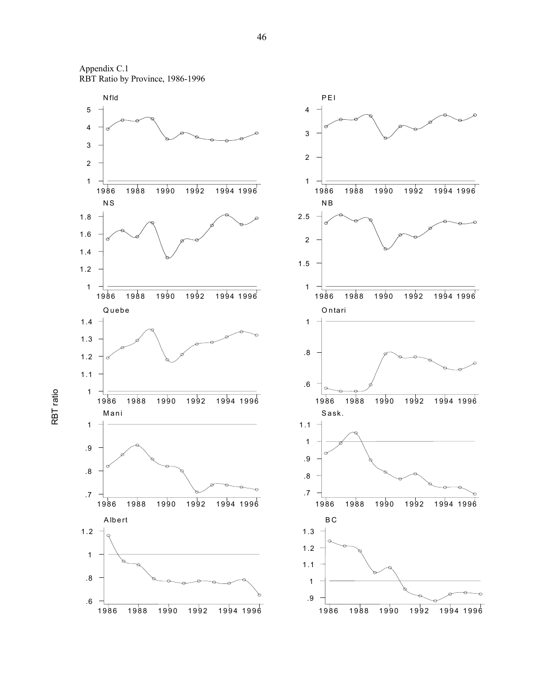

RBT ratio

RBT ratio

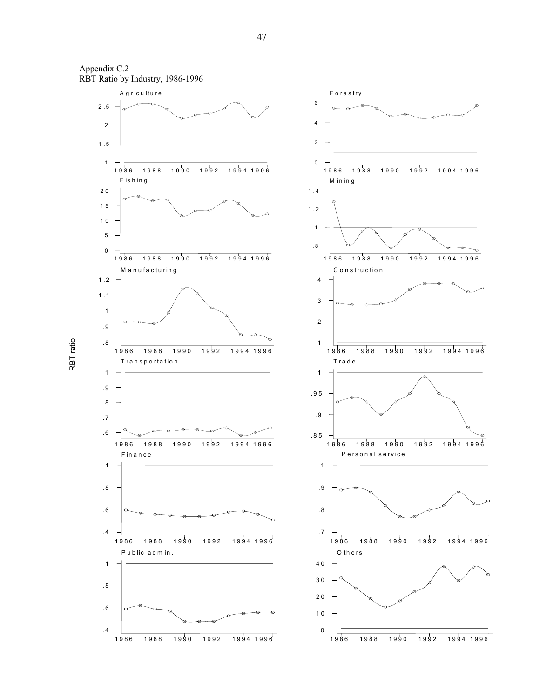





RBT ratio RBT ratio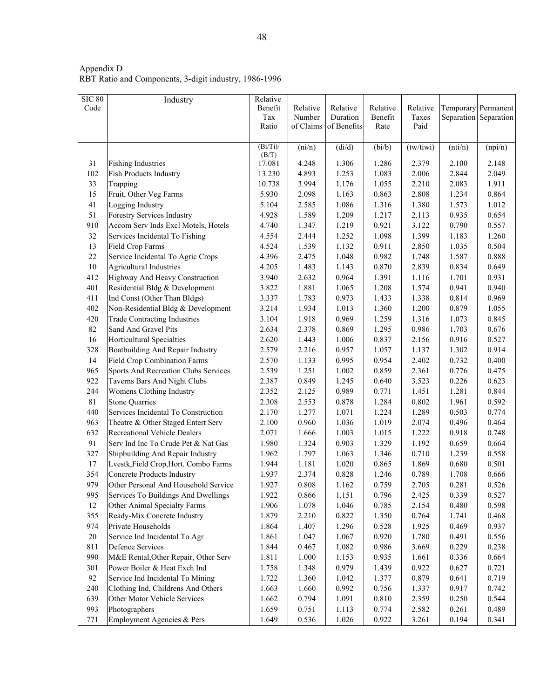| <b>SIC 80</b> | Industry                              | Relative    |           |                 |          |           |         |                       |
|---------------|---------------------------------------|-------------|-----------|-----------------|----------|-----------|---------|-----------------------|
| Code          |                                       | Benefit     | Relative  | Relative        | Relative | Relative  |         | Temporary Permanent   |
|               |                                       | Tax         | Number    | Duration        | Benefit  | Taxes     |         | Separation Separation |
|               |                                       | Ratio       | of Claims | of Benefits     | Rate     | Paid      |         |                       |
|               |                                       | $(Bi/Ti)$ / | (ni/n)    | $(\text{di/d})$ | (bi/b)   | (tw/tiwi) | (nti/n) | (npi/n)               |
|               |                                       | (B/T)       |           |                 |          |           |         |                       |
| 31            | <b>Fishing Industries</b>             | 17.081      | 4.248     | 1.306           | 1.286    | 2.379     | 2.100   | 2.148                 |
| 102           | <b>Fish Products Industry</b>         | 13.230      | 4.893     | 1.253           | 1.083    | 2.006     | 2.844   | 2.049                 |
| 33            | Trapping                              | 10.738      | 3.994     | 1.176           | 1.055    | 2.210     | 2.083   | 1.911                 |
| 15            | Fruit, Other Veg Farms                | 5.930       | 2.098     | 1.163           | 0.863    | 2.808     | 1.234   | 0.864                 |
| 41            | Logging Industry                      | 5.104       | 2.585     | 1.086           | 1.316    | 1.380     | 1.573   | 1.012                 |
| 51            | Forestry Services Industry            | 4.928       | 1.589     | 1.209           | 1.217    | 2.113     | 0.935   | 0.654                 |
| 910           | Accom Serv Inds Excl Motels, Hotels   | 4.740       | 1.347     | 1.219           | 0.921    | 3.122     | 0.790   | 0.557                 |
| 32            | Services Incidental To Fishing        | 4.554       | 2.444     | 1.252           | 1.098    | 1.399     | 1.183   | 1.260                 |
| 13            | Field Crop Farms                      | 4.524       | 1.539     | 1.132           | 0.911    | 2.850     | 1.035   | 0.504                 |
| 22            | Service Incidental To Agric Crops     | 4.396       | 2.475     | 1.048           | 0.982    | 1.748     | 1.587   | 0.888                 |
| $10\,$        | <b>Agricultural Industries</b>        | 4.205       | 1.483     | 1.143           | 0.870    | 2.839     | 0.834   | 0.649                 |
| 412           | Highway And Heavy Construction        | 3.940       | 2.632     | 0.964           | 1.391    | 1.116     | 1.701   | 0.931                 |
| 401           | Residential Bldg & Development        | 3.822       | 1.881     | 1.065           | 1.208    | 1.574     | 0.941   | 0.940                 |
| 411           | Ind Const (Other Than Bldgs)          | 3.337       | 1.783     | 0.973           | 1.433    | 1.338     | 0.814   | 0.969                 |
| 402           | Non-Residential Bldg & Development    | 3.214       | 1.934     | 1.013           | 1.360    | 1.200     | 0.879   | 1.055                 |
| 420           | <b>Trade Contracting Industries</b>   | 3.104       | 1.918     | 0.969           | 1.259    | 1.316     | 1.073   | 0.845                 |
| 82            | Sand And Gravel Pits                  | 2.634       | 2.378     | 0.869           | 1.295    | 0.986     | 1.703   | 0.676                 |
| 16            | Horticultural Specialties             | 2.620       | 1.443     | 1.006           | 0.837    | 2.156     | 0.916   | 0.527                 |
| 328           | Boatbuilding And Repair Industry      | 2.579       | 2.216     | 0.957           | 1.057    | 1.137     | 1.302   | 0.914                 |
| 14            | <b>Field Crop Combination Farms</b>   | 2.570       | 1.133     | 0.995           | 0.954    | 2.402     | 0.732   | 0.400                 |
| 965           | Sports And Recreation Clubs Services  | 2.539       | 1.251     | 1.002           | 0.859    | 2.361     | 0.776   | 0.475                 |
| 922           | Taverns Bars And Night Clubs          | 2.387       | 0.849     | 1.245           | 0.640    | 3.523     | 0.226   | 0.623                 |
| 244           | Womens Clothing Industry              | 2.352       | 2.125     | 0.989           | 0.771    | 1.451     | 1.281   | 0.844                 |
| 81            | <b>Stone Quarries</b>                 | 2.308       | 2.553     | 0.878           | 1.284    | 0.802     | 1.961   | 0.592                 |
| 440           | Services Incidental To Construction   | 2.170       | 1.277     | 1.071           | 1.224    | 1.289     | 0.503   | 0.774                 |
| 963           | Theatre & Other Staged Entert Serv    | 2.100       | 0.960     | 1.036           | 1.019    | 2.074     | 0.496   | 0.464                 |
| 632           | <b>Recreational Vehicle Dealers</b>   | 2.071       | 1.666     | 1.003           | 1.015    | 1.222     | 0.918   | 0.748                 |
| 91            | Serv Ind Inc To Crude Pet & Nat Gas   | 1.980       | 1.324     | 0.903           | 1.329    | 1.192     | 0.659   | 0.664                 |
| 327           | Shipbuilding And Repair Industry      | 1.962       | 1.797     | 1.063           | 1.346    | 0.710     | 1.239   | 0.558                 |
| 17            | Lvestk, Field Crop, Hort. Combo Farms | 1.944       | 1.181     | 1.020           | 0.865    | 1.869     | 0.680   | 0.501                 |
| 354           | <b>Concrete Products Industry</b>     | 1.937       | 2.374     | 0.828           | 1.246    | 0.789     | 1.708   | 0.666                 |
| 979           | Other Personal And Household Service  | 1.927       | 0.808     | 1.162           | 0.759    | 2.705     | 0.281   | 0.526                 |
| 995           | Services To Buildings And Dwellings   | 1.922       | 0.866     | 1.151           | 0.796    | 2.425     | 0.339   | 0.527                 |
| 12            | Other Animal Specialty Farms          | 1.906       | 1.078     | 1.046           | 0.785    | 2.154     | 0.480   | 0.598                 |
| 355           | Ready-Mix Concrete Industry           | 1.879       | 2.210     | 0.822           | 1.350    | 0.764     | 1.741   | 0.468                 |
| 974           | Private Households                    | 1.864       | 1.407     | 1.296           | 0.528    | 1.925     | 0.469   | 0.937                 |
| $20\,$        | Service Ind Incidental To Agr         | 1.861       | 1.047     | 1.067           | 0.920    | 1.780     | 0.491   | 0.556                 |
| 811           | <b>Defence Services</b>               | 1.844       | 0.467     | 1.082           | 0.986    | 3.669     | 0.229   | 0.238                 |
| 990           | M&E Rental, Other Repair, Other Serv  | 1.811       | $1.000\,$ | 1.153           | 0.935    | 1.661     | 0.336   | 0.664                 |
| 301           | Power Boiler & Heat Exch Ind          | 1.758       | 1.348     | 0.979           | 1.439    | 0.922     | 0.627   | 0.721                 |
| 92            | Service Ind Incidental To Mining      | 1.722       | 1.360     | 1.042           | 1.377    | 0.879     | 0.641   | 0.719                 |
| 240           | Clothing Ind, Childrens And Others    | 1.663       | 1.660     | 0.992           | 0.756    | 1.337     | 0.917   | 0.742                 |
| 639           | Other Motor Vehicle Services          | 1.662       | 0.794     | 1.091           | 0.810    | 2.359     | 0.250   | 0.544                 |
| 993           | Photographers                         | 1.659       | 0.751     | 1.113           | 0.774    | 2.582     | 0.261   | 0.489                 |
| 771           | Employment Agencies & Pers            | 1.649       | 0.536     | 1.026           | 0.922    | 3.261     | 0.194   | 0.341                 |

Appendix D RBT Ratio and Components, 3-digit industry, 1986-1996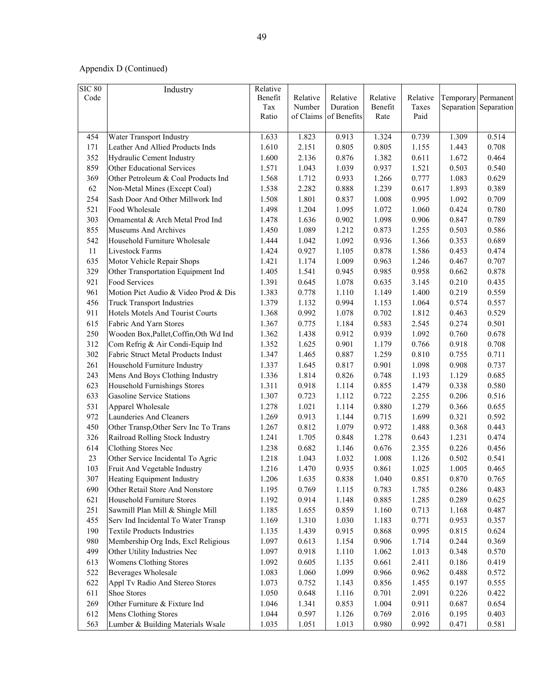| <b>SIC 80</b> | Industry                                | Relative |           |             |          |          |       |                       |
|---------------|-----------------------------------------|----------|-----------|-------------|----------|----------|-------|-----------------------|
| Code          |                                         | Benefit  | Relative  | Relative    | Relative | Relative |       | Temporary Permanent   |
|               |                                         | Tax      | Number    | Duration    | Benefit  | Taxes    |       | Separation Separation |
|               |                                         | Ratio    | of Claims | of Benefits | Rate     | Paid     |       |                       |
|               |                                         |          |           |             |          |          |       |                       |
| 454           | Water Transport Industry                | 1.633    | 1.823     | 0.913       | 1.324    | 0.739    | 1.309 | 0.514                 |
| 171           | Leather And Allied Products Inds        | 1.610    | 2.151     | 0.805       | 0.805    | 1.155    | 1.443 | 0.708                 |
| 352           | Hydraulic Cement Industry               | 1.600    | 2.136     | 0.876       | 1.382    | 0.611    | 1.672 | 0.464                 |
| 859           | Other Educational Services              | 1.571    | 1.043     | 1.039       | 0.937    | 1.521    | 0.503 | 0.540                 |
| 369           | Other Petroleum & Coal Products Ind     | 1.568    | 1.712     | 0.933       | 1.266    | 0.777    | 1.083 | 0.629                 |
| 62            | Non-Metal Mines (Except Coal)           | 1.538    | 2.282     | 0.888       | 1.239    | 0.617    | 1.893 | 0.389                 |
| 254           | Sash Door And Other Millwork Ind        | 1.508    | 1.801     | 0.837       | 1.008    | 0.995    | 1.092 | 0.709                 |
| 521           | Food Wholesale                          | 1.498    | 1.204     | 1.095       | 1.072    | 1.060    | 0.424 | 0.780                 |
| 303           | Ornamental & Arch Metal Prod Ind        | 1.478    | 1.636     | 0.902       | 1.098    | 0.906    | 0.847 | 0.789                 |
| 855           | Museums And Archives                    | 1.450    | 1.089     | 1.212       | 0.873    | 1.255    | 0.503 | 0.586                 |
| 542           | Household Furniture Wholesale           | 1.444    | 1.042     | 1.092       | 0.936    | 1.366    | 0.353 | 0.689                 |
| 11            | Livestock Farms                         | 1.424    | 0.927     | 1.105       | 0.878    | 1.586    | 0.453 | 0.474                 |
| 635           | Motor Vehicle Repair Shops              | 1.421    | 1.174     | 1.009       | 0.963    | 1.246    | 0.467 | 0.707                 |
| 329           | Other Transportation Equipment Ind      | 1.405    | 1.541     | 0.945       | 0.985    | 0.958    | 0.662 | 0.878                 |
| 921           | Food Services                           | 1.391    | 0.645     | 1.078       | 0.635    | 3.145    | 0.210 | 0.435                 |
| 961           | Motion Pict Audio & Video Prod & Dis    | 1.383    | 0.778     | 1.110       | 1.149    | 1.400    | 0.219 | 0.559                 |
| 456           | <b>Truck Transport Industries</b>       | 1.379    | 1.132     | 0.994       | 1.153    | 1.064    | 0.574 | 0.557                 |
| 911           | <b>Hotels Motels And Tourist Courts</b> | 1.368    | 0.992     | 1.078       | 0.702    | 1.812    | 0.463 | 0.529                 |
| 615           | Fabric And Yarn Stores                  | 1.367    | 0.775     | 1.184       | 0.583    | 2.545    | 0.274 | 0.501                 |
| 250           | Wooden Box, Pallet, Coffin, Oth Wd Ind  | 1.362    | 1.438     | 0.912       | 0.939    | 1.092    | 0.760 | 0.678                 |
| 312           | Com Refrig & Air Condi-Equip Ind        | 1.352    | 1.625     | 0.901       | 1.179    | 0.766    | 0.918 | 0.708                 |
| 302           | Fabric Struct Metal Products Indust     | 1.347    | 1.465     | 0.887       | 1.259    | 0.810    | 0.755 | 0.711                 |
| 261           | Household Furniture Industry            | 1.337    | 1.645     | 0.817       | 0.901    | 1.098    | 0.908 | 0.737                 |
| 243           | Mens And Boys Clothing Industry         | 1.336    | 1.814     | 0.826       | 0.748    | 1.193    | 1.129 | 0.685                 |
| 623           | <b>Household Furnishings Stores</b>     | 1.311    | 0.918     | 1.114       | 0.855    | 1.479    | 0.338 | 0.580                 |
| 633           | <b>Gasoline Service Stations</b>        | 1.307    | 0.723     | 1.112       | 0.722    | 2.255    | 0.206 | 0.516                 |
| 531           | Apparel Wholesale                       | 1.278    | 1.021     | 1.114       | 0.880    | 1.279    | 0.366 | 0.655                 |
| 972           | Launderies And Cleaners                 | 1.269    | 0.913     | 1.144       | 0.715    | 1.699    | 0.321 | 0.592                 |
| 450           | Other Transp, Other Serv Inc To Trans   | 1.267    | 0.812     | 1.079       | 0.972    | 1.488    | 0.368 | 0.443                 |
| 326           | Railroad Rolling Stock Industry         | 1.241    | 1.705     | 0.848       | 1.278    | 0.643    | 1.231 | 0.474                 |
| 614           | Clothing Stores Nec                     | 1.238    | 0.682     | 1.146       | 0.676    | 2.355    | 0.226 | 0.456                 |
| 23            | Other Service Incidental To Agric       | 1.218    | 1.043     | 1.032       | 1.008    | 1.126    | 0.502 | 0.541                 |
| 103           | Fruit And Vegetable Industry            | 1.216    | 1.470     | 0.935       | 0.861    | 1.025    | 1.005 | 0.465                 |
| 307           | Heating Equipment Industry              | 1.206    | 1.635     | 0.838       | 1.040    | 0.851    | 0.870 | 0.765                 |
| 690           | Other Retail Store And Nonstore         | 1.195    | 0.769     | 1.115       | 0.783    | 1.785    | 0.286 | 0.483                 |
| 621           | Household Furniture Stores              | 1.192    | 0.914     | 1.148       | 0.885    | 1.285    | 0.289 | 0.625                 |
| 251           | Sawmill Plan Mill & Shingle Mill        | 1.185    | 1.655     | 0.859       | 1.160    | 0.713    | 1.168 | 0.487                 |
| 455           | Serv Ind Incidental To Water Transp     | 1.169    | 1.310     | 1.030       | 1.183    | 0.771    | 0.953 | 0.357                 |
| 190           | <b>Textile Products Industries</b>      | 1.135    | 1.439     | 0.915       | 0.868    | 0.995    | 0.815 | 0.624                 |
| 980           | Membership Org Inds, Excl Religious     | 1.097    | 0.613     | 1.154       | 0.906    | 1.714    | 0.244 | 0.369                 |
| 499           | Other Utility Industries Nec            | 1.097    | 0.918     | 1.110       | 1.062    | 1.013    | 0.348 | 0.570                 |
| 613           | <b>Womens Clothing Stores</b>           | 1.092    | 0.605     | 1.135       | 0.661    | 2.411    | 0.186 | 0.419                 |
| 522           | Beverages Wholesale                     | 1.083    | 1.060     | 1.099       | 0.966    | 0.962    | 0.488 | 0.572                 |
| 622           | Appl Tv Radio And Stereo Stores         | 1.073    | 0.752     | 1.143       | 0.856    | 1.455    | 0.197 | 0.555                 |
| 611           | Shoe Stores                             | 1.050    | 0.648     | 1.116       | 0.701    | 2.091    | 0.226 | 0.422                 |
| 269           | Other Furniture & Fixture Ind           | 1.046    | 1.341     | 0.853       | 1.004    | 0.911    | 0.687 | 0.654                 |
| 612           | Mens Clothing Stores                    | 1.044    | 0.597     | 1.126       | 0.769    | 2.016    | 0.195 | 0.403                 |
|               | Lumber & Building Materials Wsale       | 1.035    |           | 1.013       |          | 0.992    |       |                       |
| 563           |                                         |          | 1.051     |             | 0.980    |          | 0.471 | 0.581                 |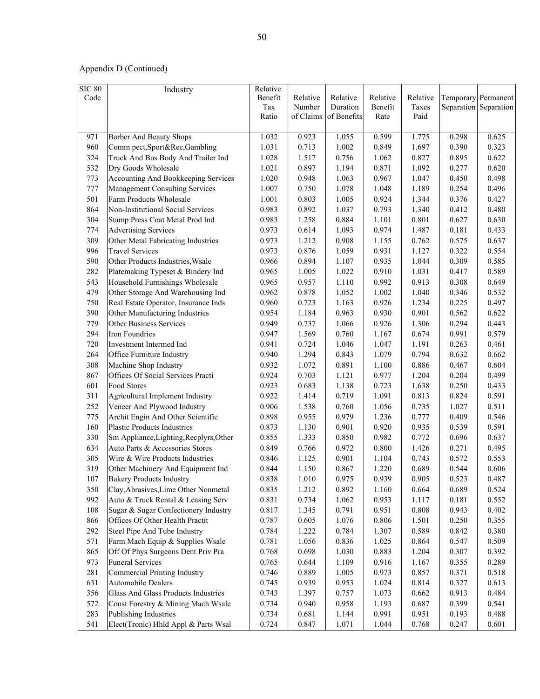| <b>SIC 80</b> | Industry                                | Relative |           |             |          |          |       |                       |
|---------------|-----------------------------------------|----------|-----------|-------------|----------|----------|-------|-----------------------|
| Code          |                                         | Benefit  | Relative  | Relative    | Relative | Relative |       | Temporary Permanent   |
|               |                                         | Tax      | Number    | Duration    | Benefit  | Taxes    |       | Separation Separation |
|               |                                         | Ratio    | of Claims | of Benefits | Rate     | Paid     |       |                       |
|               |                                         |          |           |             |          |          |       |                       |
| 971           | <b>Barber And Beauty Shops</b>          | 1.032    | 0.923     | 1.055       | 0.599    | 1.775    | 0.298 | 0.625                 |
| 960           | Comm pect, Sport&Rec, Gambling          | 1.031    | 0.713     | 1.002       | 0.849    | 1.697    | 0.390 | 0.323                 |
| 324           | Truck And Bus Body And Trailer Ind      | 1.028    | 1.517     | 0.756       | 1.062    | 0.827    | 0.895 | 0.622                 |
| 532           | Dry Goods Wholesale                     | 1.021    | 0.897     | 1.194       | 0.871    | 1.092    | 0.277 | 0.620                 |
| 773           | Accounting And Bookkeeping Services     | 1.020    | 0.948     | 1.063       | 0.967    | 1.047    | 0.450 | 0.498                 |
| 777           | <b>Management Consulting Services</b>   | 1.007    | 0.750     | 1.078       | 1.048    | 1.189    | 0.254 | 0.496                 |
| 501           | Farm Products Wholesale                 | 1.001    | 0.803     | 1.005       | 0.924    | 1.344    | 0.376 | 0.427                 |
| 864           | Non-Institutional Social Services       | 0.983    | 0.892     | 1.037       | 0.793    | 1.340    | 0.412 | 0.480                 |
| 304           | Stamp Press Coat Metal Prod Ind         | 0.983    | 1.258     | 0.884       | 1.101    | 0.801    | 0.627 | 0.630                 |
| 774           | <b>Advertising Services</b>             | 0.973    | 0.614     | 1.093       | 0.974    | 1.487    | 0.181 | 0.433                 |
| 309           | Other Metal Fabricating Industries      | 0.973    | 1.212     | 0.908       | 1.155    | 0.762    | 0.575 | 0.637                 |
| 996           | <b>Travel Services</b>                  | 0.973    | 0.876     | 1.059       | 0.931    | 1.127    | 0.322 | 0.554                 |
| 590           | Other Products Industries, Wsale        | 0.966    | 0.894     | 1.107       | 0.935    | 1.044    | 0.309 | 0.585                 |
| 282           | Platemaking Typeset & Bindery Ind       | 0.965    | 1.005     | 1.022       | 0.910    | 1.031    | 0.417 | 0.589                 |
| 543           | Household Furnishings Wholesale         | 0.965    | 0.957     | 1.110       | 0.992    | 0.913    | 0.308 | 0.649                 |
| 479           | Other Storage And Warehousing Ind       | 0.962    | 0.878     | 1.052       | 1.002    | 1.040    | 0.346 | 0.532                 |
| 750           | Real Estate Operator, Insurance Inds    | 0.960    | 0.723     | 1.163       | 0.926    | 1.234    | 0.225 | 0.497                 |
| 390           | Other Manufacturing Industries          | 0.954    | 1.184     | 0.963       | 0.930    | 0.901    | 0.562 | 0.622                 |
| 779           | Other Business Services                 | 0.949    | 0.737     | 1.066       | 0.926    | 1.306    | 0.294 | 0.443                 |
| 294           | Iron Foundries                          | 0.947    | 1.569     | 0.760       | 1.167    | 0.674    | 0.991 | 0.579                 |
| 720           | Investment Intermed Ind                 | 0.941    | 0.724     | 1.046       | 1.047    | 1.191    | 0.263 | 0.461                 |
| 264           | Office Furniture Industry               | 0.940    | 1.294     | 0.843       | 1.079    | 0.794    | 0.632 | 0.662                 |
| 308           | Machine Shop Industry                   | 0.932    | 1.072     | 0.891       | 1.100    | 0.886    | 0.467 | 0.604                 |
| 867           | Offices Of Social Services Practi       | 0.924    | 0.703     | 1.121       | 0.977    | 1.204    | 0.204 | 0.499                 |
| 601           | Food Stores                             | 0.923    | 0.683     | 1.138       | 0.723    | 1.638    | 0.250 | 0.433                 |
| 311           | Agricultural Implement Industry         | 0.922    | 1.414     | 0.719       | 1.091    | 0.813    | 0.824 | 0.591                 |
| 252           | Veneer And Plywood Industry             | 0.906    | 1.538     | 0.760       | 1.056    | 0.735    | 1.027 | 0.511                 |
| 775           | Archit Engin And Other Scientific       | 0.898    | 0.955     | 0.979       | 1.236    | 0.777    | 0.409 | 0.546                 |
| 160           | <b>Plastic Products Industries</b>      | 0.873    | 1.130     | 0.901       | 0.920    | 0.935    | 0.539 | 0.591                 |
| 330           | Sm Appliance, Lighting, Recplyrs, Other | 0.855    | 1.333     | 0.850       | 0.982    | 0.772    | 0.696 | 0.637                 |
| 634           | Auto Parts & Accessories Stores         | 0.849    | 0.766     | 0.972       | 0.800    | 1.426    | 0.271 | 0.495                 |
| 305           | Wire & Wire Products Industries         | 0.846    | 1.125     | 0.901       | 1.104    | 0.743    | 0.572 | 0.553                 |
| 319           | Other Machinery And Equipment Ind       | 0.844    | 1.150     | 0.867       | 1.220    | 0.689    | 0.544 | 0.606                 |
| 107           | <b>Bakery Products Industry</b>         | 0.838    | 1.010     | 0.975       | 0.939    | 0.905    | 0.523 | 0.487                 |
| 350           | Clay, Abrasives, Lime Other Nonmetal    | 0.835    | 1.212     | 0.892       | 1.160    | 0.664    | 0.689 | 0.524                 |
| 992           | Auto & Truck Rental & Leasing Serv      | 0.831    | 0.734     | 1.062       | 0.953    | 1.117    | 0.181 | 0.552                 |
| 108           | Sugar & Sugar Confectionery Industry    | 0.817    | 1.345     | 0.791       | 0.951    | 0.808    | 0.943 | 0.402                 |
| 866           | Offices Of Other Health Practit         | 0.787    | 0.605     | 1.076       | 0.806    | 1.501    | 0.250 | 0.355                 |
| 292           | Steel Pipe And Tube Industry            | 0.784    | 1.222     | 0.784       | 1.307    | 0.589    | 0.842 | 0.380                 |
| 571           | Farm Mach Equip & Supplies Wsale        | 0.781    | 1.056     | 0.836       | 1.025    | 0.864    | 0.547 | 0.509                 |
| 865           | Off Of Phys Surgeons Dent Priv Pra      | 0.768    | 0.698     | 1.030       | 0.883    | 1.204    | 0.307 | 0.392                 |
| 973           | <b>Funeral Services</b>                 | 0.765    | 0.644     | 1.109       | 0.916    | 1.167    | 0.355 | 0.289                 |
| 281           | Commercial Printing Industry            | 0.746    | 0.889     | 1.005       | 0.973    | 0.857    | 0.371 | 0.518                 |
| 631           | <b>Automobile Dealers</b>               | 0.745    | 0.939     | 0.953       | 1.024    | 0.814    | 0.327 | 0.613                 |
|               | Glass And Glass Products Industries     |          |           |             |          |          |       | 0.484                 |
| 356           |                                         | 0.743    | 1.397     | 0.757       | 1.073    | 0.662    | 0.913 |                       |
| 572           | Const Forestry & Mining Mach Wsale      | 0.734    | 0.940     | 0.958       | 1.193    | 0.687    | 0.399 | 0.541                 |
| 283           | Publishing Industries                   | 0.734    | 0.681     | 1.144       | 0.991    | 0.951    | 0.193 | 0.488                 |
| 541           | Elect(Tronic) Hhld Appl & Parts Wsal    | 0.724    | 0.847     | 1.071       | 1.044    | 0.768    | 0.247 | 0.601                 |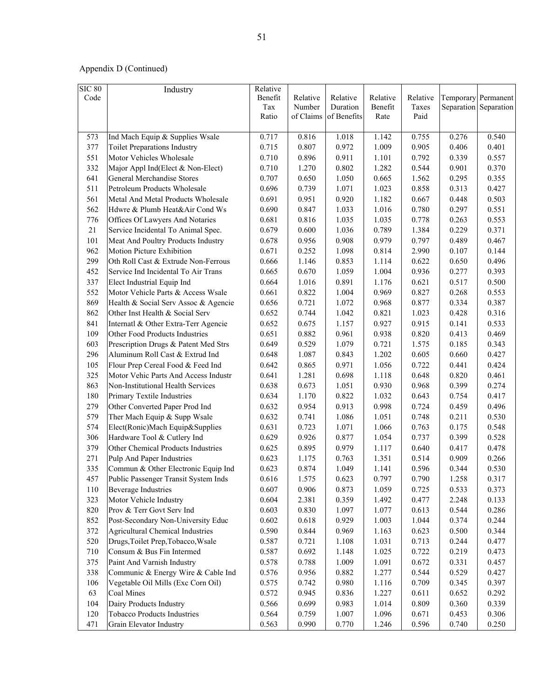| <b>SIC 80</b> | Industry                                | Relative       |                |                |                |                |                |                       |
|---------------|-----------------------------------------|----------------|----------------|----------------|----------------|----------------|----------------|-----------------------|
| Code          |                                         | Benefit        | Relative       | Relative       | Relative       | Relative       |                | Temporary Permanent   |
|               |                                         | Tax            | Number         | Duration       | Benefit        | Taxes          |                | Separation Separation |
|               |                                         | Ratio          | of Claims      | of Benefits    | Rate           | Paid           |                |                       |
|               |                                         |                |                |                |                |                |                |                       |
| 573           | Ind Mach Equip & Supplies Wsale         | 0.717          | 0.816          | 1.018          | 1.142          | 0.755          | 0.276          | 0.540                 |
| 377           | <b>Toilet Preparations Industry</b>     | 0.715          | 0.807          | 0.972          | 1.009          | 0.905          | 0.406          | 0.401                 |
| 551           | Motor Vehicles Wholesale                | 0.710          | 0.896          | 0.911          | 1.101          | 0.792          | 0.339          | 0.557                 |
| 332           | Major Appl Ind(Elect & Non-Elect)       | 0.710          | 1.270          | 0.802          | 1.282          | 0.544          | 0.901          | 0.370                 |
| 641           | General Merchandise Stores              | 0.707          | 0.650          | 1.050          | 0.665          | 1.562          | 0.295          | 0.355                 |
| 511           | Petroleum Products Wholesale            | 0.696          | 0.739          | 1.071          | 1.023          | 0.858          | 0.313          | 0.427                 |
| 561           | Metal And Metal Products Wholesale      | 0.691          | 0.951          | 0.920          | 1.182          | 0.667          | 0.448          | 0.503                 |
| 562           | Hdwre & Plumb Heat&Air Cond Ws          | 0.690          | 0.847          | 1.033          | 1.016          | 0.780          | 0.297          | 0.551                 |
| 776           | Offices Of Lawyers And Notaries         | 0.681          | 0.816          | 1.035          | 1.035          | 0.778          | 0.263          | 0.553                 |
| 21            | Service Incidental To Animal Spec.      | 0.679          | 0.600          | 1.036          | 0.789          | 1.384          | 0.229          | 0.371                 |
| 101           | Meat And Poultry Products Industry      | 0.678          | 0.956          | 0.908          | 0.979          | 0.797          | 0.489          | 0.467                 |
| 962           | <b>Motion Picture Exhibition</b>        | 0.671          | 0.252          | 1.098          | 0.814          | 2.990          | 0.107          | 0.144                 |
| 299           | Oth Roll Cast & Extrude Non-Ferrous     | 0.666          | 1.146          | 0.853          | 1.114          | 0.622          | 0.650          | 0.496                 |
| 452           | Service Ind Incidental To Air Trans     | 0.665          | 0.670          | 1.059          | 1.004          | 0.936          | 0.277          | 0.393                 |
| 337           | Elect Industrial Equip Ind              | 0.664          | 1.016          | 0.891          | 1.176          | 0.621          | 0.517          | 0.500                 |
| 552           | Motor Vehicle Parts & Access Wsale      | 0.661          | 0.822          | 1.004          | 0.969          | 0.827          | 0.268          | 0.553                 |
| 869           | Health & Social Serv Assoc & Agencie    | 0.656          | 0.721          | 1.072          | 0.968          | 0.877          | 0.334          | 0.387                 |
| 862           | Other Inst Health & Social Serv         | 0.652          | 0.744          | 1.042          | 0.821          | 1.023          | 0.428          | 0.316                 |
| 841           | Internatl & Other Extra-Terr Agencie    | 0.652          | 0.675          | 1.157          | 0.927          | 0.915          | 0.141          | 0.533                 |
| 109           | Other Food Products Industries          | 0.651          | 0.882          | 0.961          | 0.938          | 0.820          | 0.413          | 0.469                 |
| 603           | Prescription Drugs & Patent Med Strs    | 0.649          | 0.529          | 1.079          | 0.721          | 1.575          | 0.185          | 0.343                 |
| 296           | Aluminum Roll Cast & Extrud Ind         | 0.648          | 1.087          | 0.843          | 1.202          | 0.605          | 0.660          | 0.427                 |
| 105           | Flour Prep Cereal Food & Feed Ind       | 0.642          | 0.865          | 0.971          | 1.056          | 0.722          | 0.441          | 0.424                 |
| 325           | Motor Vehic Parts And Access Industr    | 0.641          | 1.281          | 0.698          | 1.118          | 0.648          | 0.820          | 0.461                 |
| 863           | Non-Institutional Health Services       | 0.638          | 0.673          | 1.051          | 0.930          | 0.968          | 0.399          | 0.274                 |
| 180           | Primary Textile Industries              | 0.634          | 1.170          | 0.822          | 1.032          | 0.643          | 0.754          | 0.417                 |
| 279           | Other Converted Paper Prod Ind          | 0.632          | 0.954          | 0.913          | 0.998          | 0.724          | 0.459          | 0.496                 |
| 579           | Ther Mach Equip & Supp Wsale            | 0.632          | 0.741          | 1.086          | 1.051          | 0.748          | 0.211          | 0.530                 |
| 574           | Elect(Ronic)Mach Equip&Supplies         | 0.631          | 0.723          | 1.071          | 1.066          | 0.763          | 0.175          | 0.548                 |
| 306           | Hardware Tool & Cutlery Ind             | 0.629          | 0.926          | 0.877          | 1.054          | 0.737          | 0.399          | 0.528                 |
| 379           | Other Chemical Products Industries      | 0.625          | 0.895          | 0.979          | 1.117          | 0.640          | 0.417          | 0.478                 |
| 271           | Pulp And Paper Industries               | 0.623          | 1.175          | 0.763          | 1.351          | 0.514          | 0.909          | 0.266                 |
| 335           | Commun & Other Electronic Equip Ind     | 0.623          | 0.874          | 1.049          | 1.141          | 0.596          | 0.344          | 0.530                 |
| 457           | Public Passenger Transit System Inds    | 0.616          | 1.575          | 0.623          | 0.797          | 0.790          | 1.258          | 0.317                 |
| 110           | <b>Beverage Industries</b>              | 0.607          | 0.906          | 0.873          | 1.059          | 0.725          | 0.533          | 0.373                 |
| 323           | Motor Vehicle Industry                  | 0.604          | 2.381          | 0.359          | 1.492          | 0.477          | 2.248          | 0.133                 |
| 820           | Prov & Terr Govt Serv Ind               | 0.603          | 0.830          | 1.097          | 1.077          | 0.613          | 0.544          | 0.286                 |
| 852           | Post-Secondary Non-University Educ      | 0.602          | 0.618          | 0.929          | 1.003          | 1.044          | 0.374          | 0.244                 |
| 372           | <b>Agricultural Chemical Industries</b> | 0.590          | 0.844          | 0.969          | 1.163          | 0.623          | 0.500          | 0.344                 |
| 520           | Drugs, Toilet Prep, Tobacco, Wsale      | 0.587          | 0.721          | 1.108          | 1.031          | 0.713          | 0.244          | 0.477                 |
|               | Consum & Bus Fin Intermed               |                |                |                |                |                |                | 0.473                 |
| 710<br>375    | Paint And Varnish Industry              | 0.587<br>0.578 | 0.692<br>0.788 | 1.148<br>1.009 | 1.025<br>1.091 | 0.722<br>0.672 | 0.219<br>0.331 | 0.457                 |
|               |                                         |                |                |                |                |                |                |                       |
| 338           | Communic & Energy Wire & Cable Ind      | 0.576          | 0.956          | 0.882          | 1.277          | 0.544          | 0.529          | 0.427                 |
| 106           | Vegetable Oil Mills (Exc Corn Oil)      | 0.575          | 0.742          | 0.980          | 1.116          | 0.709          | 0.345          | 0.397                 |
| 63            | Coal Mines                              | 0.572          | 0.945          | 0.836          | 1.227          | 0.611          | 0.652          | 0.292                 |
| 104           | Dairy Products Industry                 | 0.566          | 0.699          | 0.983          | 1.014          | 0.809          | 0.360          | 0.339                 |
| 120           | <b>Tobacco Products Industries</b>      | 0.564          | 0.759          | 1.007          | 1.096          | 0.671          | 0.453          | 0.306                 |
| 471           | Grain Elevator Industry                 | 0.563          | 0.990          | 0.770          | 1.246          | 0.596          | 0.740          | 0.250                 |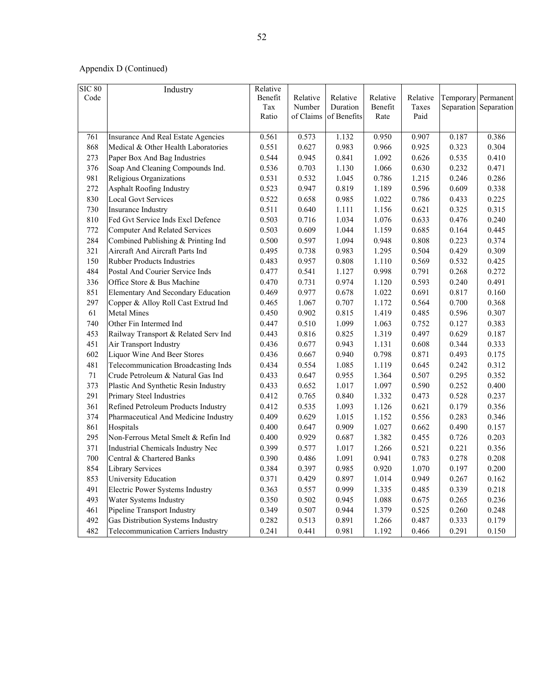| <b>SIC 80</b><br>Code | Industry                                   | Relative<br>Benefit<br>Tax<br>Ratio | Relative<br>Number<br>of Claims | Relative<br>Duration<br>of Benefits | Relative<br>Benefit<br>Rate | Relative<br>Taxes<br>Paid |       | Temporary Permanent<br>Separation Separation |
|-----------------------|--------------------------------------------|-------------------------------------|---------------------------------|-------------------------------------|-----------------------------|---------------------------|-------|----------------------------------------------|
|                       |                                            |                                     |                                 |                                     |                             |                           |       |                                              |
| 761                   | <b>Insurance And Real Estate Agencies</b>  | 0.561                               | 0.573                           | 1.132                               | 0.950                       | 0.907                     | 0.187 | 0.386                                        |
| 868                   | Medical & Other Health Laboratories        | 0.551                               | 0.627                           | 0.983                               | 0.966                       | 0.925                     | 0.323 | 0.304                                        |
| 273                   | Paper Box And Bag Industries               | 0.544                               | 0.945                           | 0.841                               | 1.092                       | 0.626                     | 0.535 | 0.410                                        |
| 376                   | Soap And Cleaning Compounds Ind.           | 0.536                               | 0.703                           | 1.130                               | 1.066                       | 0.630                     | 0.232 | 0.471                                        |
| 981                   | Religious Organizations                    | 0.531                               | 0.532                           | 1.045                               | 0.786                       | 1.215                     | 0.246 | 0.286                                        |
| 272                   | Asphalt Roofing Industry                   | 0.523                               | 0.947                           | 0.819                               | 1.189                       | 0.596                     | 0.609 | 0.338                                        |
| 830                   | <b>Local Govt Services</b>                 | 0.522                               | 0.658                           | 0.985                               | 1.022                       | 0.786                     | 0.433 | 0.225                                        |
| 730                   | Insurance Industry                         | 0.511                               | 0.640                           | 1.111                               | 1.156                       | 0.621                     | 0.325 | 0.315                                        |
| 810                   | Fed Gvt Service Inds Excl Defence          | 0.503                               | 0.716                           | 1.034                               | 1.076                       | 0.633                     | 0.476 | 0.240                                        |
| 772                   | <b>Computer And Related Services</b>       | 0.503                               | 0.609                           | 1.044                               | 1.159                       | 0.685                     | 0.164 | 0.445                                        |
| 284                   | Combined Publishing & Printing Ind         | 0.500                               | 0.597                           | 1.094                               | 0.948                       | 0.808                     | 0.223 | 0.374                                        |
| 321                   | Aircraft And Aircraft Parts Ind            | 0.495                               | 0.738                           | 0.983                               | 1.295                       | 0.504                     | 0.429 | 0.309                                        |
| 150                   | Rubber Products Industries                 | 0.483                               | 0.957                           | 0.808                               | 1.110                       | 0.569                     | 0.532 | 0.425                                        |
| 484                   | Postal And Courier Service Inds            | 0.477                               | 0.541                           | 1.127                               | 0.998                       | 0.791                     | 0.268 | 0.272                                        |
| 336                   | Office Store & Bus Machine                 | 0.470                               | 0.731                           | 0.974                               | 1.120                       | 0.593                     | 0.240 | 0.491                                        |
| 851                   | Elementary And Secondary Education         | 0.469                               | 0.977                           | 0.678                               | 1.022                       | 0.691                     | 0.817 | 0.160                                        |
| 297                   | Copper & Alloy Roll Cast Extrud Ind        | 0.465                               | 1.067                           | 0.707                               | 1.172                       | 0.564                     | 0.700 | 0.368                                        |
| 61                    | <b>Metal Mines</b>                         | 0.450                               | 0.902                           | 0.815                               | 1.419                       | 0.485                     | 0.596 | 0.307                                        |
| 740                   | Other Fin Intermed Ind                     | 0.447                               | 0.510                           | 1.099                               | 1.063                       | 0.752                     | 0.127 | 0.383                                        |
| 453                   | Railway Transport & Related Serv Ind       | 0.443                               | 0.816                           | 0.825                               | 1.319                       | 0.497                     | 0.629 | 0.187                                        |
| 451                   | Air Transport Industry                     | 0.436                               | 0.677                           | 0.943                               | 1.131                       | 0.608                     | 0.344 | 0.333                                        |
| 602                   | Liquor Wine And Beer Stores                | 0.436                               | 0.667                           | 0.940                               | 0.798                       | 0.871                     | 0.493 | 0.175                                        |
| 481                   | Telecommunication Broadcasting Inds        | 0.434                               | 0.554                           | 1.085                               | 1.119                       | 0.645                     | 0.242 | 0.312                                        |
| 71                    | Crude Petroleum & Natural Gas Ind          | 0.433                               | 0.647                           | 0.955                               | 1.364                       | 0.507                     | 0.295 | 0.352                                        |
| 373                   | Plastic And Synthetic Resin Industry       | 0.433                               | 0.652                           | 1.017                               | 1.097                       | 0.590                     | 0.252 | 0.400                                        |
| 291                   | Primary Steel Industries                   | 0.412                               | 0.765                           | 0.840                               | 1.332                       | 0.473                     | 0.528 | 0.237                                        |
| 361                   | Refined Petroleum Products Industry        | 0.412                               | 0.535                           | 1.093                               | 1.126                       | 0.621                     | 0.179 | 0.356                                        |
| 374                   | Pharmaceutical And Medicine Industry       | 0.409                               | 0.629                           | 1.015                               | 1.152                       | 0.556                     | 0.283 | 0.346                                        |
| 861                   | Hospitals                                  | 0.400                               | 0.647                           | 0.909                               | 1.027                       | 0.662                     | 0.490 | 0.157                                        |
| 295                   | Non-Ferrous Metal Smelt & Refin Ind        | 0.400                               | 0.929                           | 0.687                               | 1.382                       | 0.455                     | 0.726 | 0.203                                        |
| 371                   | Industrial Chemicals Industry Nec          | 0.399                               | 0.577                           | 1.017                               | 1.266                       | 0.521                     | 0.221 | 0.356                                        |
| 700                   | Central & Chartered Banks                  | 0.390                               | 0.486                           | 1.091                               | 0.941                       | 0.783                     | 0.278 | 0.208                                        |
| 854                   | <b>Library Services</b>                    | 0.384                               | 0.397                           | 0.985                               | 0.920                       | 1.070                     | 0.197 | 0.200                                        |
| 853                   | University Education                       | 0.371                               | 0.429                           | 0.897                               | 1.014                       | 0.949                     | 0.267 | 0.162                                        |
| 491                   | Electric Power Systems Industry            | 0.363                               | 0.557                           | 0.999                               | 1.335                       | 0.485                     | 0.339 | 0.218                                        |
| 493                   | Water Systems Industry                     | 0.350                               | 0.502                           | 0.945                               | 1.088                       | 0.675                     | 0.265 | 0.236                                        |
| 461                   | Pipeline Transport Industry                | 0.349                               | 0.507                           | 0.944                               | 1.379                       | 0.525                     | 0.260 | 0.248                                        |
| 492                   | Gas Distribution Systems Industry          | 0.282                               | 0.513                           | 0.891                               | 1.266                       | 0.487                     | 0.333 | 0.179                                        |
| 482                   | <b>Telecommunication Carriers Industry</b> | 0.241                               | 0.441                           | 0.981                               | 1.192                       | 0.466                     | 0.291 | 0.150                                        |